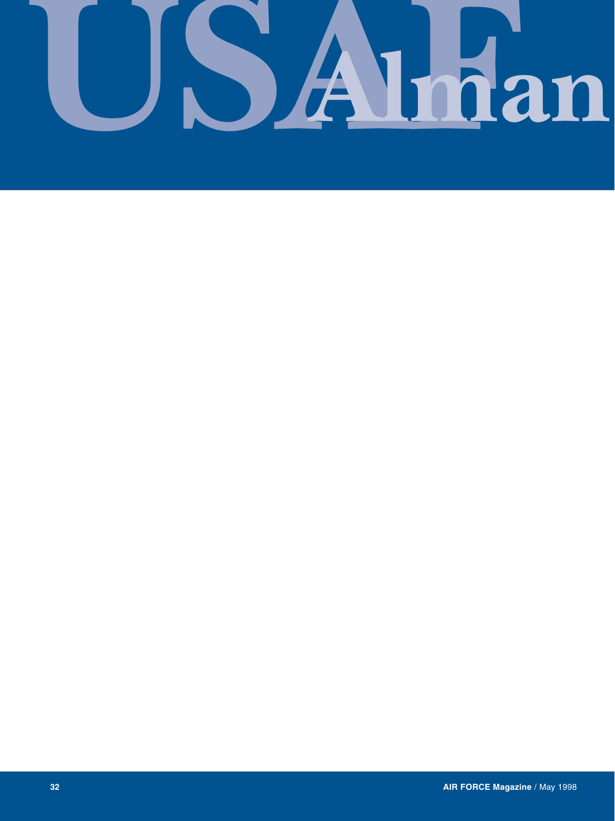## SAIman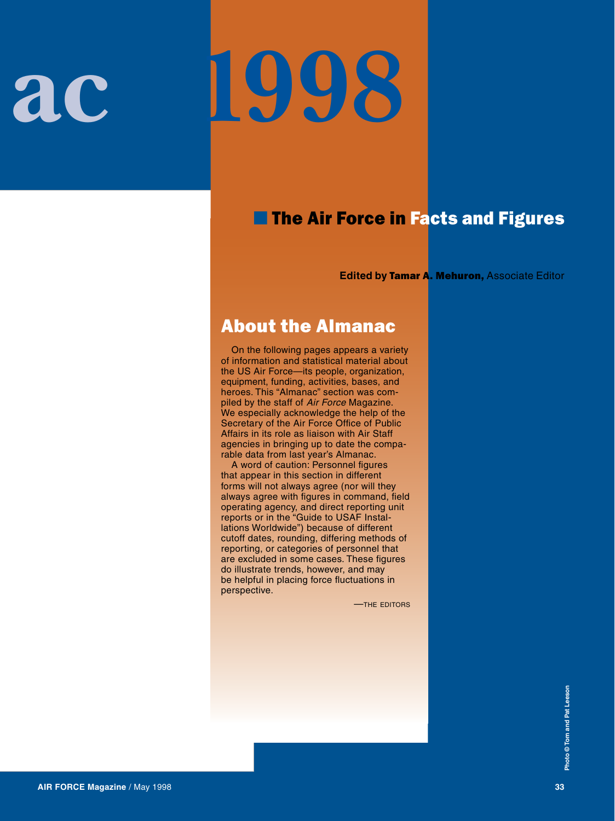# **USAFAlman ac 1998**

### ■ The Air Force in Facts and Figures

**Edited by Tamar A. Mehuron, Associate Editor** 

### About the Almanac

On the following pages appears a variety of information and statistical material about the US Air Force—its people, organization, equipment, funding, activities, bases, and heroes. This "Almanac" section was compiled by the staff of *Air Force* Magazine. We especially acknowledge the help of the Secretary of the Air Force Office of Public Affairs in its role as liaison with Air Staff agencies in bringing up to date the comparable data from last year's Almanac.

A word of caution: Personnel figures that appear in this section in different forms will not always agree (nor will they always agree with figures in command, field operating agency, and direct reporting unit reports or in the "Guide to USAF Installations Worldwide") because of different cutoff dates, rounding, differing methods of reporting, or categories of personnel that are excluded in some cases. These figures do illustrate trends, however, and may be helpful in placing force fluctuations in perspective.

—the editors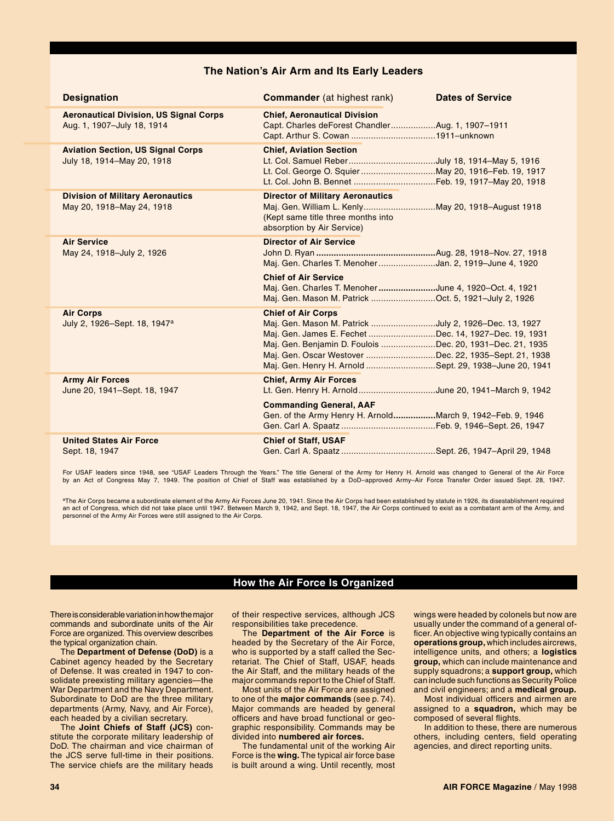### **The Nation's Air Arm and Its Early Leaders**

| <b>Designation</b>                                                          | <b>Commander</b> (at highest rank)                                                                                                                                                                                                                                                                                          | <b>Dates of Service</b> |
|-----------------------------------------------------------------------------|-----------------------------------------------------------------------------------------------------------------------------------------------------------------------------------------------------------------------------------------------------------------------------------------------------------------------------|-------------------------|
| <b>Aeronautical Division, US Signal Corps</b><br>Aug. 1, 1907-July 18, 1914 | <b>Chief, Aeronautical Division</b><br>Capt. Charles deForest ChandlerAug. 1, 1907-1911                                                                                                                                                                                                                                     |                         |
| <b>Aviation Section, US Signal Corps</b><br>July 18, 1914-May 20, 1918      | <b>Chief, Aviation Section</b>                                                                                                                                                                                                                                                                                              |                         |
| <b>Division of Military Aeronautics</b><br>May 20, 1918-May 24, 1918        | <b>Director of Military Aeronautics</b><br>Maj. Gen. William L. KenlyMay 20, 1918-August 1918<br>(Kept same title three months into<br>absorption by Air Service)                                                                                                                                                           |                         |
| <b>Air Service</b><br>May 24, 1918-July 2, 1926                             | <b>Director of Air Service</b><br>Maj. Gen. Charles T. MenoherJan. 2, 1919-June 4, 1920                                                                                                                                                                                                                                     |                         |
|                                                                             | <b>Chief of Air Service</b><br>Maj. Gen. Charles T. MenoherJune 4, 1920–Oct. 4, 1921<br>Maj. Gen. Mason M. Patrick Oct. 5, 1921-July 2, 1926                                                                                                                                                                                |                         |
| <b>Air Corps</b><br>July 2, 1926-Sept. 18, 1947 <sup>a</sup>                | <b>Chief of Air Corps</b><br>Maj. Gen. Mason M. Patrick July 2, 1926-Dec. 13, 1927<br>Maj. Gen. James E. Fechet Dec. 14, 1927–Dec. 19, 1931<br>Maj. Gen. Benjamin D. Foulois Dec. 20, 1931-Dec. 21, 1935<br>Maj. Gen. Oscar Westover Dec. 22, 1935-Sept. 21, 1938<br>Maj. Gen. Henry H. Arnold Sept. 29, 1938-June 20, 1941 |                         |
| <b>Army Air Forces</b><br>June 20, 1941-Sept. 18, 1947                      | <b>Chief, Army Air Forces</b><br>Lt. Gen. Henry H. ArnoldJune 20, 1941-March 9, 1942                                                                                                                                                                                                                                        |                         |
|                                                                             | <b>Commanding General, AAF</b><br>Gen. of the Army Henry H. ArnoldMarch 9, 1942–Feb. 9, 1946                                                                                                                                                                                                                                |                         |
| <b>United States Air Force</b><br>Sept. 18, 1947                            | <b>Chief of Staff, USAF</b>                                                                                                                                                                                                                                                                                                 |                         |

For USAF leaders since 1948, see "USAF Leaders Through the Years." The title General of the Army for Henry H. Arnold was changed to General of the Air Force by an Act of Congress May 7, 1949. The position of Chief of Staff was established by a DoD–approved Army–Air Force Transfer Order issued Sept. 28, 1947.

<sup>a</sup>The Air Corps became a subordinate element of the Army Air Forces June 20, 1941. Since the Air Corps had been established by statute in 1926, its disestablishment required an act of Congress, which did not take place until 1947. Between March 9, 1942, and Sept. 18, 1947, the Air Corps continued to exist as a combatant arm of the Army, and personnel of the Army Air Forces were still assigned to the Air Corps.

### **How the Air Force Is Organized**

There is considerable variation in how the major commands and subordinate units of the Air Force are organized. This overview describes the typical organization chain.

The **Department of Defense (DoD)** is a Cabinet agency headed by the Secretary of Defense. It was created in 1947 to consolidate preexisting military agencies—the War Department and the Navy Department. Subordinate to DoD are the three military departments (Army, Navy, and Air Force), each headed by a civilian secretary.

The **Joint Chiefs of Staff (JCS)** constitute the corporate military leadership of DoD. The chairman and vice chairman of the JCS serve full-time in their positions. The service chiefs are the military heads of their respective services, although JCS responsibilities take precedence.

The **Department of the Air Force** is headed by the Secretary of the Air Force, who is supported by a staff called the Secretariat. The Chief of Staff, USAF, heads the Air Staff, and the military heads of the major commands report to the Chief of Staff.

Most units of the Air Force are assigned to one of the **major commands** (see p. 74). Major commands are headed by general officers and have broad functional or geographic responsibility. Commands may be divided into **numbered air forces.**

The fundamental unit of the working Air Force is the **wing.** The typical air force base is built around a wing. Until recently, most

wings were headed by colonels but now are usually under the command of a general officer. An objective wing typically contains an **operations group,** which includes aircrews, intelligence units, and others; a **logistics group,** which can include maintenance and supply squadrons; a **support group,** which can include such functions as Security Police and civil engineers; and a **medical group.**

Most individual officers and airmen are assigned to a **squadron,** which may be composed of several flights.

In addition to these, there are numerous others, including centers, field operating agencies, and direct reporting units.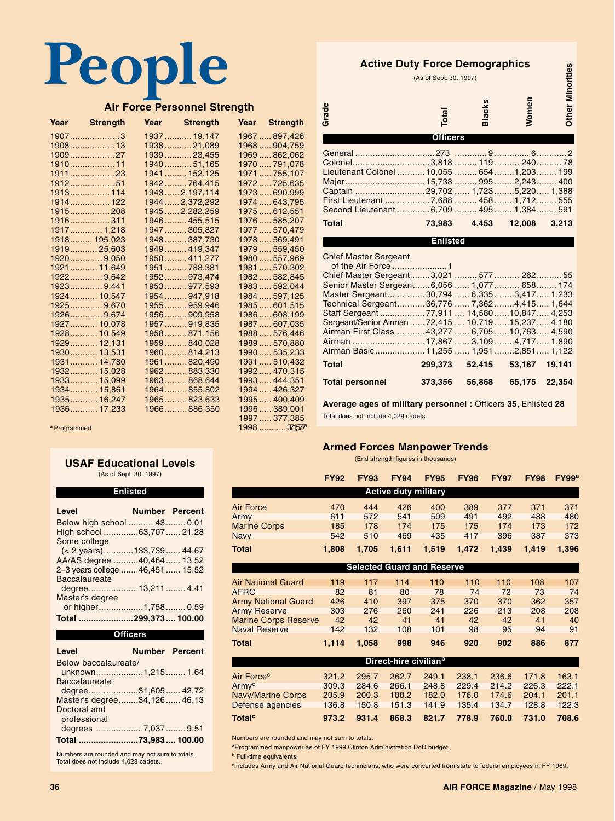### **People**

### **Air Force Personnel Strength**

| Year Strength | Year Strength   | <b>Year</b> Strength |
|---------------|-----------------|----------------------|
| $1907$ 3      | 1937 19,147     | 1967  897,426        |
| 1908 13       | 193821,089      | 1968  904,759        |
| 190927        | 193923,455      | 1969  862,062        |
| 1910 11       | 194051,165      | 1970791,078          |
| 191123        | 1941  152,125   | 1971  755,107        |
| 191251        | 1942764,415     | 1972  725,635        |
| 1913 114      | 1943 2,197,114  | 1973690,999          |
| 1914 122      | 1944  2,372,292 | 1974  643,795        |
| 1915208       | 1945  2,282,259 | 1975  612,551        |
| 1916311       | 1946  455,515   | 1976  585,207        |
| 1917 1,218    | 1947305,827     | 1977  570,479        |
| 1918 195,023  | 1948387,730     | 1978  569,491        |
| 1919 25,603   | 1949 419,347    | 1979559,450          |
| 1920 9,050    | 1950 411,277    | 1980557,969          |
| 1921 11,649   | 1951  788,381   | 1981  570,302        |
| 1922 9,642    | 1952 973,474    | 1982582,845          |
| 1923 9,441    | 1953977,593     | 1983592,044          |
| 1924 10,547   | 1954947,918     | 1984  597,125        |
| 1925 9,670    | 1955959,946     | 1985  601,515        |
| 1926 9,674    | 1956  909,958   | 1986  608,199        |
| 1927 10,078   | 1957  919,835   | 1987  607,035        |
| 1928 10,549   | 1958  871,156   | 1988576,446          |
| 1929 12,131   | 1959840,028     | 1989  570,880        |
| 1930 13,531   | 1960814,213     | 1990  535,233        |
| 1931 14,780   | 1961  820,490   | 1991  510,432        |
| 1932 15,028   | 1962883,330     | 1992  470,315        |
| 1933 15,099   | 1963868,644     | 1993  444,351        |
| 1934 15,861   | 1964  855,802   | 1994  426,327        |
| 1935 16,247   | 1965  823,633   | 1995  400,409        |
| 1936 17,233   | 1966886,350     | 1996  389,001        |
|               |                 | 1997  377,385        |

**Active Duty Force Demographics** (As of Sept. 30, 1997)

orities

| ACTIVE DUTA LOLGE DEMOGRAPHICS             | (As of Sept. 30, 1997) |              |        | <b>Minorities</b> |
|--------------------------------------------|------------------------|--------------|--------|-------------------|
| Grade                                      | Total                  | Blacks       | Women  | Other I           |
|                                            | <b>Officers</b>        |              |        |                   |
|                                            |                        |              |        |                   |
|                                            |                        |              |        |                   |
| Lieutenant Colonel  10,055  654  1,203 199 |                        |              |        |                   |
|                                            |                        |              |        |                   |
|                                            |                        |              |        |                   |
|                                            |                        |              |        |                   |
| Second Lieutenant  6,709  495  1,384  591  |                        |              |        |                   |
| <b>Total</b>                               |                        | 73,983 4,453 | 12,008 | 3,213             |
|                                            | <b>Enlisted</b>        |              |        |                   |

Chief Master Sergeant

| UNICI MASICI UCIYCANI                                 |  |                              |  |
|-------------------------------------------------------|--|------------------------------|--|
|                                                       |  |                              |  |
| Chief Master Sergeant 3,021  577  262 55              |  |                              |  |
| Senior Master Sergeant 6,056  1,077  658 174          |  |                              |  |
| Master Sergeant 30,794  6,335 3,417  1,233            |  |                              |  |
| Technical Sergeant 36,776  7,362 4,415 1,644          |  |                              |  |
|                                                       |  |                              |  |
| Sergeant/Senior Airman  72,415  10,719  15,237  4,180 |  |                              |  |
| Airman First Class 43,277  6,705  10,763  4,590       |  |                              |  |
|                                                       |  |                              |  |
| Airman Basic 11,255  1,951 2,851  1,122               |  |                              |  |
|                                                       |  |                              |  |
| <b>Total</b>                                          |  | 299,373 52,415 53,167 19,141 |  |
|                                                       |  |                              |  |
| Total personnel 373,356 56,868 65,175 22,354          |  |                              |  |

a Programmed 1998 ...........371,577a

### **USAF Educational Levels** (As of Sept. 30, 1997)

**Enlisted**

| Level                          | Number Percent |  |
|--------------------------------|----------------|--|
| Below high school  43 0.01     |                |  |
| High school 63,707  21.28      |                |  |
| Some college                   |                |  |
| $(< 2$ years)133,739 44.67     |                |  |
| AA/AS degree 40,464 13.52      |                |  |
| 2-3 years college 46,451 15.52 |                |  |
| <b>Baccalaureate</b>           |                |  |
| degree13,211 4.41              |                |  |
| Master's degree                |                |  |
| or higher1,758 0.59            |                |  |
| Total 299,373 100.00           |                |  |
|                                |                |  |

**Officers**

| Level                        | <b>Number Percent</b> |  |
|------------------------------|-----------------------|--|
| Below baccalaureate/         |                       |  |
| unknown1,215 1.64            |                       |  |
| <b>Baccalaureate</b>         |                       |  |
| degree31,605 42.72           |                       |  |
| Master's degree34,126 46.13  |                       |  |
| Doctoral and<br>professional |                       |  |
| degrees 7,037  9.51          |                       |  |
|                              |                       |  |
| Total 73,983 100.00          |                       |  |
|                              |                       |  |

Numbers are rounded and may not sum to totals. Total does not include 4,029 cadets.

**Average ages of military personnel :** Officers **35,** Enlisted **28** Total does not include 4,029 cadets.

### **Armed Forces Manpower Trends**

(End strength figures in thousands)

|                             | <b>FY92</b> | <b>FY93</b> | <b>FY94</b>                 | <b>FY95</b>                       | <b>FY96</b> | <b>FY97</b> | <b>FY98</b> | FY99 <sup>a</sup> |
|-----------------------------|-------------|-------------|-----------------------------|-----------------------------------|-------------|-------------|-------------|-------------------|
|                             |             |             | <b>Active duty military</b> |                                   |             |             |             |                   |
| Air Force                   | 470         | 444         | 426                         | 400                               | 389         | 377         | 371         | 371               |
| Army                        | 611         | 572         | 541                         | 509                               | 491         | 492         | 488         | 480               |
| <b>Marine Corps</b>         | 185         | 178         | 174                         | 175                               | 175         | 174         | 173         | 172               |
| <b>Navy</b>                 | 542         | 510         | 469                         | 435                               | 417         | 396         | 387         | 373               |
| <b>Total</b>                | 1,808       | 1,705       | 1,611                       | 1,519                             | 1.472       | 1,439       | 1,419       | 1,396             |
|                             |             |             |                             | <b>Selected Guard and Reserve</b> |             |             |             |                   |
| Air National Guard          | 119         | 117         | 114                         | 110                               | 110         | 110         | 108         | 107               |
| AFRC                        | 82          | 81          | 80                          | 78                                | 74          | 72          | 73          | 74                |
| <b>Army National Guard</b>  | 426         | 410         | 397                         | 375                               | 370         | 370         | 362         | 357               |
| <b>Army Reserve</b>         | 303         | 276         | 260                         | 241                               | 226         | 213         | 208         | 208               |
| <b>Marine Corps Reserve</b> | 42          | 42          | 41                          | 41                                | 42          | 42          | 41          | 40                |

| <b>Total</b>             | 1.114 | 1.058 | 998                               | 946   | 920   | 902   | 886   | 877   |
|--------------------------|-------|-------|-----------------------------------|-------|-------|-------|-------|-------|
|                          |       |       | Direct-hire civilian <sup>b</sup> |       |       |       |       |       |
| Air Force <sup>c</sup>   | 321.2 | 295.7 | 262.7                             | 249.1 | 238.1 | 236.6 | 171.8 | 163.1 |
| Armyc                    | 309.3 | 284.6 | 266.1                             | 248.8 | 229.4 | 214.2 | 226.3 | 222.1 |
| <b>Navy/Marine Corps</b> | 205.9 | 200.3 | 188.2                             | 182.0 | 176.0 | 174.6 | 204.1 | 201.1 |
| Defense agencies         | 136.8 | 150.8 | 151.3                             | 141.9 | 135.4 | 134.7 | 128.8 | 122.3 |
| Total <sup>c</sup>       | 973.2 | 931.4 | 868.3                             | 821.7 | 778.9 | 760.0 | 731.0 | 708.6 |

Naval Reserve 142 132 108 101 98 95 94 91

Numbers are rounded and may not sum to totals.

aProgrammed manpower as of FY 1999 Clinton Administration DoD budget.

**b** Full-time equivalents.

Г

Г

<sup>c</sup>Includes Army and Air National Guard technicians, who were converted from state to federal employees in FY 1969.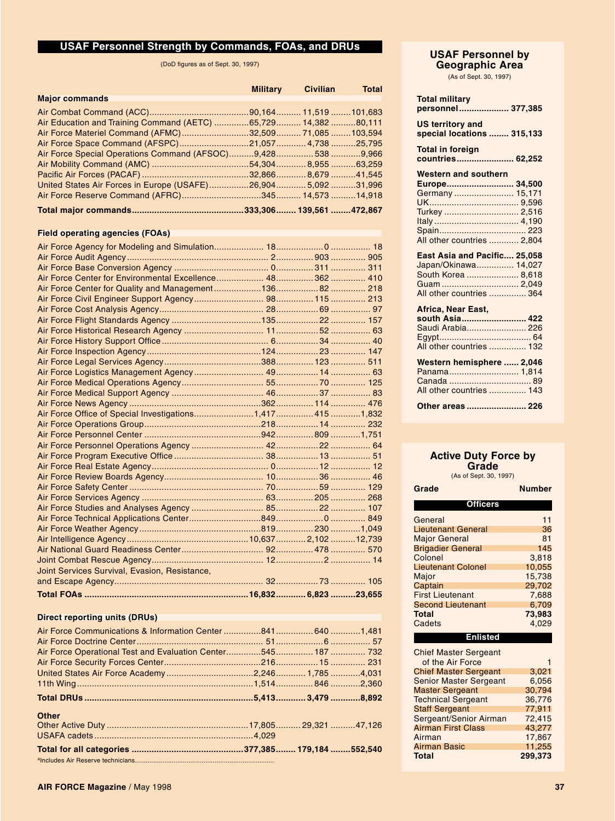### **USAF Personnel Strength by Commands, FOAs, and DRUs**

(DoD figures as of Sept. 30, 1997)

|                                                                | Military Civilian | <b>Total</b> |
|----------------------------------------------------------------|-------------------|--------------|
| <b>Major commands</b>                                          |                   |              |
|                                                                |                   |              |
| Air Education and Training Command (AETC) 65,729 14,382 80,111 |                   |              |
| Air Force Materiel Command (AFMC)32,509 71,085103,594          |                   |              |
|                                                                |                   |              |
| Air Force Special Operations Command (AFSOC)9,4285389,966      |                   |              |
|                                                                |                   |              |
|                                                                |                   |              |
| United States Air Forces in Europe (USAFE)26,9045,09231,996    |                   |              |
|                                                                |                   |              |
|                                                                |                   |              |

### **Field operating agencies (FOAs)**

| Joint Services Survival, Evasion, Resistance, |  |  |
|-----------------------------------------------|--|--|
|                                               |  |  |
|                                               |  |  |

### **Direct reporting units (DRUs)**

| Air Force Communications & Information Center 8416401,481        |  |  |
|------------------------------------------------------------------|--|--|
|                                                                  |  |  |
| Air Force Operational Test and Evaluation Center545 187 732      |  |  |
|                                                                  |  |  |
|                                                                  |  |  |
|                                                                  |  |  |
| Total DRUs ………………………………………………………………………5,413…………… 3,479 …………8,892 |  |  |
| <b>Other</b>                                                     |  |  |
|                                                                  |  |  |
|                                                                  |  |  |
|                                                                  |  |  |
|                                                                  |  |  |

### **USAF Personnel by Geographic Area**

(As of Sept. 30, 1997)

| <b>Total military</b><br>personnel  377,385                                                            |
|--------------------------------------------------------------------------------------------------------|
| <b>US territory and</b><br>special locations  315,133                                                  |
| <b>Total in foreign</b><br>countries 62,252                                                            |
| <b>Western and southern</b>                                                                            |
| Europe 34,500                                                                                          |
| Germany  15,171                                                                                        |
|                                                                                                        |
| Turkey  2,516                                                                                          |
|                                                                                                        |
|                                                                                                        |
| All other countries  2.804                                                                             |
| East Asia and Pacific 25,058<br>Japan/Okinawa 14,027<br>South Korea  8,618<br>All other countries  364 |
| Africa, Near East,                                                                                     |
| south Asia 422<br>Saudi Arabia 226<br>All other countries  132                                         |
| Western hemisphere  2,046<br>Panama 1,814<br>All other countries  143                                  |
| Other areas  226                                                                                       |

### **Active Duty Force by**

**Grade**<br>(As of Sept. 30, 1997)

| Grade                     | <b>Number</b> |  |  |  |  |  |
|---------------------------|---------------|--|--|--|--|--|
| <b>Officers</b>           |               |  |  |  |  |  |
| General                   | 11            |  |  |  |  |  |
| <b>Lieutenant General</b> | 36            |  |  |  |  |  |
| <b>Major General</b>      | 81            |  |  |  |  |  |
| <b>Brigadier General</b>  | 145           |  |  |  |  |  |
| Colonel                   | 3.818         |  |  |  |  |  |
| <b>Lieutenant Colonel</b> | 10.055        |  |  |  |  |  |
| Major                     | 15.738        |  |  |  |  |  |
| Captain                   | 29.702        |  |  |  |  |  |
| <b>First Lieutenant</b>   | 7,688         |  |  |  |  |  |
| <b>Second Lieutenant</b>  | 6,709         |  |  |  |  |  |
| <b>Total</b>              | 73,983        |  |  |  |  |  |
| Cadets                    | 4.029         |  |  |  |  |  |
| Enlisted                  |               |  |  |  |  |  |

| <b>Chief Master Sergeant</b><br>of the Air Force |         |
|--------------------------------------------------|---------|
|                                                  |         |
| <b>Chief Master Sergeant</b>                     | 3,021   |
| <b>Senior Master Sergeant</b>                    | 6.056   |
| <b>Master Sergeant</b>                           | 30.794  |
| <b>Technical Sergeant</b>                        | 36.776  |
| <b>Staff Sergeant</b>                            | 77.911  |
| Sergeant/Senior Airman                           | 72.415  |
| <b>Airman First Class</b>                        | 43.277  |
| Airman                                           | 17.867  |
| Airman Basic                                     | 11.255  |
| <b>Total</b>                                     | 299,373 |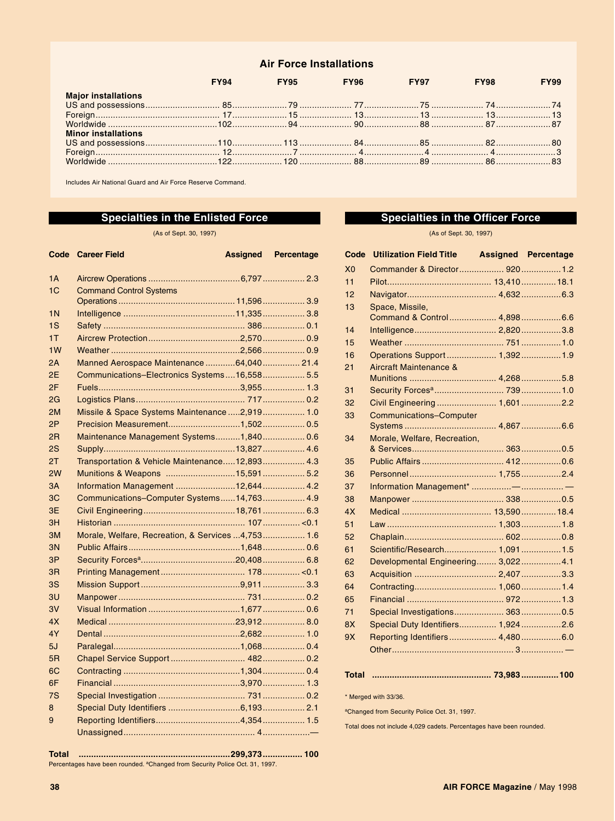### **Air Force Installations**

|                            | FY94 | <b>FY95 FY96 FY97</b> | <b>FY98</b> | <b>FY99</b> |
|----------------------------|------|-----------------------|-------------|-------------|
| <b>Major installations</b> |      |                       |             |             |
|                            |      |                       |             |             |
|                            |      |                       |             |             |
|                            |      |                       |             |             |
| <b>Minor installations</b> |      |                       |             |             |
|                            |      |                       |             |             |
|                            |      |                       |             |             |
|                            |      |                       |             |             |

Includes Air National Guard and Air Force Reserve Command.

### **Specialties in the Enlisted Force**

(As of Sept. 30, 1997)

|                | <b>Code</b> Career Field                          | <b>Assigned</b> | <b>Percentage</b> |
|----------------|---------------------------------------------------|-----------------|-------------------|
| 1A             |                                                   |                 |                   |
| 1C             | <b>Command Control Systems</b>                    |                 |                   |
|                |                                                   |                 |                   |
| 1 <sub>N</sub> |                                                   |                 |                   |
| 1S             |                                                   |                 |                   |
| 1T             |                                                   |                 |                   |
| 1W             |                                                   |                 |                   |
| 2A             | Manned Aerospace Maintenance 64,040 21.4          |                 |                   |
| 2E             | Communications-Electronics Systems16,558 5.5      |                 |                   |
| 2F             |                                                   |                 |                   |
| 2G             |                                                   |                 |                   |
| 2M             | Missile & Space Systems Maintenance 2,919  1.0    |                 |                   |
| 2P             | Precision Measurement1,502 0.5                    |                 |                   |
| 2 <sub>R</sub> | Maintenance Management Systems1,840 0.6           |                 |                   |
| 2S             |                                                   |                 |                   |
| 2T             | Transportation & Vehicle Maintenance12,893 4.3    |                 |                   |
| 2W             | Munitions & Weapons 15,591  5.2                   |                 |                   |
| 3A             | Information Management 12,644  4.2                |                 |                   |
| 3C             | Communications-Computer Systems14,763 4.9         |                 |                   |
| 3E             |                                                   |                 |                   |
| 3H             |                                                   |                 |                   |
| 3M             | Morale, Welfare, Recreation, & Services 4,753 1.6 |                 |                   |
| 3N             |                                                   |                 |                   |
| 3P             |                                                   |                 |                   |
| 3 <sub>R</sub> |                                                   |                 |                   |
| 3S             |                                                   |                 |                   |
| 3U             |                                                   |                 |                   |
| 3V             |                                                   |                 |                   |
| 4X             |                                                   |                 |                   |
| 4Y             |                                                   |                 |                   |
| 5J             |                                                   |                 |                   |
| 5R             |                                                   |                 |                   |
| 6C             |                                                   |                 |                   |
| 6F             |                                                   |                 |                   |
| 7S             |                                                   |                 |                   |
| 8              | Special Duty Identifiers 6,193 2.1                |                 |                   |
| 9              |                                                   |                 |                   |
|                |                                                   |                 |                   |

### **Specialties in the Officer Force**

(As of Sept. 30, 1997)

| Code           | <b>Utilization Field Title</b>      | <b>Assigned Percentage</b> |
|----------------|-------------------------------------|----------------------------|
| X <sub>0</sub> | Commander & Director 920 1.2        |                            |
| 11             |                                     |                            |
| 12             |                                     |                            |
| 13             | Space, Missile,                     |                            |
|                | Command & Control 4,898 6.6         |                            |
| 14             |                                     |                            |
| 15             |                                     |                            |
| 16             | Operations Support  1,392  1.9      |                            |
| 21             | Aircraft Maintenance &              |                            |
|                |                                     |                            |
| 31             |                                     |                            |
| 32             | Civil Engineering  1,601 2.2        |                            |
| 33             | <b>Communications-Computer</b>      |                            |
|                |                                     |                            |
| 34             | Morale, Welfare, Recreation,        |                            |
| 35             |                                     |                            |
| 36             |                                     |                            |
| 37             |                                     |                            |
| 38             |                                     |                            |
| 4X             |                                     |                            |
| 51             |                                     |                            |
| 52             |                                     |                            |
| 61             | Scientific/Research 1,091 1.5       |                            |
| 62             | Developmental Engineering 3,022 4.1 |                            |
| 63             |                                     |                            |
| 64             |                                     |                            |
| 65             |                                     |                            |
| 71             |                                     |                            |
| 8X             | Special Duty Identifiers 1,9242.6   |                            |
| 9X             | Reporting Identifiers 4,480 6.0     |                            |
|                |                                     |                            |
|                |                                     |                            |

### **Total ................................................ 73,983 ...............100**

\* Merged with 33/36.

aChanged from Security Police Oct. 31, 1997.

Total does not include 4,029 cadets. Percentages have been rounded.

**Total .............................................................299,373................ 100** Percentages have been rounded. <sup>a</sup>Changed from Security Police Oct. 31, 1997.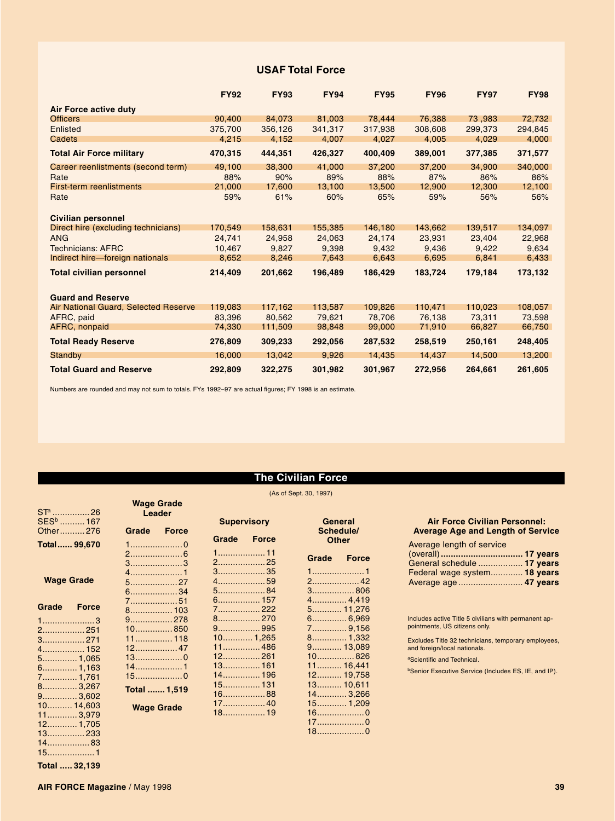### **USAF Total Force**

|                                      | <b>FY92</b> | <b>FY93</b> | <b>FY94</b> | <b>FY95</b> | <b>FY96</b> | <b>FY97</b> | <b>FY98</b> |
|--------------------------------------|-------------|-------------|-------------|-------------|-------------|-------------|-------------|
| <b>Air Force active duty</b>         |             |             |             |             |             |             |             |
| <b>Officers</b>                      | 90,400      | 84,073      | 81,003      | 78.444      | 76.388      | 73,983      | 72.732      |
| Enlisted                             | 375.700     | 356.126     | 341,317     | 317,938     | 308,608     | 299.373     | 294,845     |
| Cadets                               | 4,215       | 4,152       | 4,007       | 4,027       | 4,005       | 4,029       | 4,000       |
| <b>Total Air Force military</b>      | 470,315     | 444,351     | 426,327     | 400,409     | 389,001     | 377,385     | 371,577     |
| Career reenlistments (second term)   | 49,100      | 38,300      | 41,000      | 37,200      | 37,200      | 34,900      | 340,000     |
| Rate                                 | 88%         | 90%         | 89%         | 88%         | 87%         | 86%         | 86%         |
| <b>First-term reenlistments</b>      | 21,000      | 17,600      | 13,100      | 13,500      | 12,900      | 12,300      | 12,100      |
| Rate                                 | 59%         | 61%         | 60%         | 65%         | 59%         | 56%         | 56%         |
| <b>Civilian personnel</b>            |             |             |             |             |             |             |             |
| Direct hire (excluding technicians)  | 170.549     | 158,631     | 155,385     | 146,180     | 143,662     | 139,517     | 134,097     |
| <b>ANG</b>                           | 24,741      | 24,958      | 24,063      | 24,174      | 23,931      | 23,404      | 22,968      |
| <b>Technicians: AFRC</b>             | 10,467      | 9,827       | 9,398       | 9,432       | 9,436       | 9,422       | 9,634       |
| Indirect hire-foreign nationals      | 8,652       | 8,246       | 7,643       | 6,643       | 6,695       | 6,841       | 6,433       |
| <b>Total civilian personnel</b>      | 214,409     | 201,662     | 196,489     | 186,429     | 183,724     | 179,184     | 173,132     |
| <b>Guard and Reserve</b>             |             |             |             |             |             |             |             |
| Air National Guard, Selected Reserve | 119,083     | 117.162     | 113,587     | 109,826     | 110,471     | 110.023     | 108,057     |
| AFRC, paid                           | 83.396      | 80.562      | 79,621      | 78,706      | 76,138      | 73,311      | 73,598      |
| <b>AFRC, nonpaid</b>                 | 74,330      | 111,509     | 98,848      | 99,000      | 71,910      | 66,827      | 66,750      |
| <b>Total Ready Reserve</b>           | 276,809     | 309,233     | 292,056     | 287,532     | 258,519     | 250,161     | 248,405     |
| <b>Standby</b>                       | 16,000      | 13,042      | 9,926       | 14,435      | 14.437      | 14,500      | 13,200      |
| <b>Total Guard and Reserve</b>       | 292,809     | 322,275     | 301,982     | 301,967     | 272,956     | 264,661     | 261,605     |

Numbers are rounded and may not sum to totals. FYs 1992–97 are actual figures; FY 1998 is an estimate.

### **The Civilian Force**

### (As of Sept. 30, 1997)

|                                     |              |                             |              |                    |              | $(AS \t{or} \t{sept} \t{.} 30, 1997)$ |              |                           |
|-------------------------------------|--------------|-----------------------------|--------------|--------------------|--------------|---------------------------------------|--------------|---------------------------|
| STª ……………26<br>SES <sup>b</sup> 167 |              | <b>Wage Grade</b><br>Leader |              | <b>Supervisory</b> |              | General                               |              | Air                       |
| Other276                            |              | Grade                       | <b>Force</b> |                    |              | Schedule/                             |              | Averag                    |
|                                     |              |                             |              | Grade              | <b>Force</b> | <b>Other</b>                          |              |                           |
| Total  99,670                       |              |                             |              |                    |              |                                       |              | Average                   |
|                                     |              |                             |              | 1 11               |              | Grade                                 | <b>Force</b> | (overall)                 |
|                                     |              | $3$ 3                       |              | 225                |              |                                       |              | General                   |
|                                     |              |                             |              | $3$ 35             |              |                                       |              | Federal                   |
| <b>Wage Grade</b>                   |              | $5$ 27                      |              | 459                |              | 2 42                                  |              | Average                   |
|                                     |              | $6$ 34                      |              | 584                |              | $3$ 806                               |              |                           |
|                                     |              | 751                         |              | 6 157              |              |                                       |              |                           |
| Grade                               | <b>Force</b> | 8 103                       |              | 7. 222             |              | 5 11,276                              |              |                           |
| 13                                  |              | 9 278                       |              | 8270               |              | 6 6,969                               |              | Includes ac               |
| 2 251                               |              | 10850                       |              | 9995               |              | 7 9,156                               |              | pointments,               |
| 3. 271                              |              |                             |              | 10 1,265           |              | $8$ 1,332                             |              | <b>Excludes Ti</b>        |
| 4 152                               |              |                             |              | 11 486             |              | $9$ 13,089                            |              | and foreign               |
|                                     |              | $13$ 0                      |              | $12$ 261           |              | $10$ 826                              |              | <sup>a</sup> Scientific a |
|                                     |              | 141                         |              | 13 161             |              | 11 16,441                             |              |                           |
|                                     |              | $15$ 0                      |              | 14 196             |              | 12 19,758                             |              | bSenior Exe               |
| 7…………… 1,761                        |              |                             |              | 15 131             |              | $13$ 10,611                           |              |                           |
|                                     |              | Total  1,519                |              | $16$ 88            |              | 14 3,266                              |              |                           |
| 9. 3,602                            |              |                             |              |                    |              | $15$ 1,209                            |              |                           |
| <u>10………. 14,603</u>                |              | <b>Wage Grade</b>           |              |                    |              | $16$ 0                                |              |                           |
| 11 3,979                            |              |                             |              |                    |              | $17$ 0                                |              |                           |
| 12 1,705                            |              |                             |              |                    |              | $18$ 0                                |              |                           |
| 13 233                              |              |                             |              |                    |              |                                       |              |                           |
| 1483                                |              |                             |              |                    |              |                                       |              |                           |

### **Force Civilian Personnel: Average Age and Length of Service** Average length of service

| Average length of service    |  |
|------------------------------|--|
|                              |  |
| General schedule  17 years   |  |
| Federal wage system 18 years |  |
|                              |  |

Includes active Title 5 civilians with permanent ap-pointments, US citizens only.

Excludes Title 32 technicians, temporary employees, and foreign/local nationals.

and Technical.

ecutive Service (Includes ES, IE, and IP).

15...................1 **Total ..... 32,139**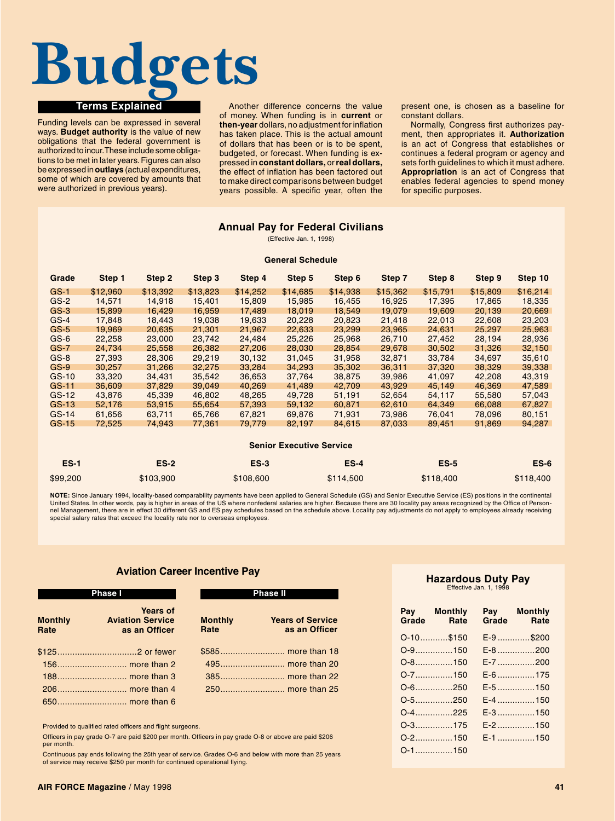### **Terms Explained Budgets**

Funding levels can be expressed in several ways. **Budget authority** is the value of new obligations that the federal government is authorized to incur. These include some obligations to be met in later years. Figures can also be expressed in **outlays** (actual expenditures, some of which are covered by amounts that were authorized in previous years).

Another difference concerns the value of money. When funding is in **current** or **then-year** dollars, no adjustment for inflation has taken place. This is the actual amount of dollars that has been or is to be spent, budgeted, or forecast. When funding is expressed in **constant dollars,** or **real dollars,** the effect of inflation has been factored out to make direct comparisons between budget years possible. A specific year, often the

present one, is chosen as a baseline for constant dollars.

Normally, Congress first authorizes payment, then appropriates it. **Authorization** is an act of Congress that establishes or continues a federal program or agency and sets forth guidelines to which it must adhere. **Appropriation** is an act of Congress that enables federal agencies to spend money for specific purposes.

### **Annual Pay for Federal Civilians**

(Effective Jan. 1, 1998)

### **General Schedule**

| Grade   | Step 1                          | Step 2   | Step 3   | Step 4   | Step 5   | Step 6   | Step 7   | Step 8   | Step 9   | Step 10  |
|---------|---------------------------------|----------|----------|----------|----------|----------|----------|----------|----------|----------|
| $GS-1$  | \$12,960                        | \$13.392 | \$13,823 | \$14,252 | \$14,685 | \$14,938 | \$15,362 | \$15,791 | \$15,809 | \$16,214 |
| $GS-2$  | 14,571                          | 14.918   | 15,401   | 15,809   | 15,985   | 16.455   | 16,925   | 17,395   | 17.865   | 18,335   |
| $GS-3$  | 15,899                          | 16,429   | 16,959   | 17,489   | 18,019   | 18,549   | 19,079   | 19,609   | 20,139   | 20,669   |
| $GS-4$  | 17,848                          | 18,443   | 19,038   | 19,633   | 20,228   | 20,823   | 21,418   | 22,013   | 22,608   | 23,203   |
| $GS-5$  | 19,969                          | 20,635   | 21,301   | 21,967   | 22,633   | 23,299   | 23,965   | 24,631   | 25,297   | 25,963   |
| $GS-6$  | 22,258                          | 23,000   | 23,742   | 24,484   | 25,226   | 25,968   | 26,710   | 27,452   | 28,194   | 28,936   |
| GS-7    | 24,734                          | 25,558   | 26,382   | 27,206   | 28,030   | 28,854   | 29.678   | 30,502   | 31,326   | 32,150   |
| $GS-8$  | 27,393                          | 28,306   | 29,219   | 30,132   | 31,045   | 31,958   | 32,871   | 33,784   | 34,697   | 35,610   |
| $GS-9$  | 30,257                          | 31,266   | 32.275   | 33,284   | 34.293   | 35,302   | 36,311   | 37,320   | 38,329   | 39,338   |
| $GS-10$ | 33,320                          | 34,431   | 35,542   | 36,653   | 37,764   | 38,875   | 39,986   | 41,097   | 42,208   | 43,319   |
| GS-11   | 36,609                          | 37,829   | 39,049   | 40,269   | 41,489   | 42,709   | 43,929   | 45,149   | 46,369   | 47,589   |
| $GS-12$ | 43,876                          | 45,339   | 46,802   | 48,265   | 49,728   | 51,191   | 52,654   | 54,117   | 55,580   | 57,043   |
| GS-13   | 52.176                          | 53,915   | 55.654   | 57,393   | 59.132   | 60.871   | 62.610   | 64.349   | 66.088   | 67,827   |
| $GS-14$ | 61.656                          | 63.711   | 65.766   | 67.821   | 69.876   | 71.931   | 73.986   | 76.041   | 78.096   | 80,151   |
| GS-15   | 72,525                          | 74,943   | 77,361   | 79,779   | 82,197   | 84,615   | 87,033   | 89,451   | 91,869   | 94,287   |
|         | <b>Senior Executive Service</b> |          |          |          |          |          |          |          |          |          |

|          |           |           | <b>OCHIOL LACCULIVE OCLYICE</b> |             |           |
|----------|-----------|-----------|---------------------------------|-------------|-----------|
| $ES-1$   | $ES-2$    | $ES-3$    | $ES-4$                          | <b>ES-5</b> | $ES-6$    |
| \$99,200 | \$103.900 | \$108,600 | \$114,500                       | \$118,400   | \$118,400 |

**NOTE:** Since January 1994, locality-based comparability payments have been applied to General Schedule (GS) and Senior Executive Service (ES) positions in the continental<br>United States. In other words, pay is higher in ar special salary rates that exceed the locality rate nor to overseas employees.

### **Aviation Career Incentive Pay**

|                        | <b>Phase I</b>                                              | <b>Phase II</b>        |                                          |  |
|------------------------|-------------------------------------------------------------|------------------------|------------------------------------------|--|
| <b>Monthly</b><br>Rate | <b>Years of</b><br><b>Aviation Service</b><br>as an Officer | <b>Monthly</b><br>Rate | <b>Years of Service</b><br>as an Officer |  |
|                        |                                                             |                        |                                          |  |
|                        |                                                             |                        |                                          |  |
|                        |                                                             |                        |                                          |  |
|                        |                                                             |                        |                                          |  |
|                        |                                                             |                        |                                          |  |

Provided to qualified rated officers and flight surgeons.

Officers in pay grade O-7 are paid \$200 per month. Officers in pay grade O-8 or above are paid \$206 per month.

Continuous pay ends following the 25th year of service. Grades O-6 and below with more than 25 years of service may receive \$250 per month for continued operational flying.

### **Hazardous Duty Pay** Effective Jan. 1, 199

| Grade | Pay Monthly<br>Rate | Grade | Pay Monthly<br>Rate |
|-------|---------------------|-------|---------------------|
|       | 0-10\$150           |       | E-9 \$200           |
|       | 0-9.     . 150      |       | E-8 200             |
|       | 0-8150              |       | E-7 200             |
|       | 0-7150              |       | E-6 175             |
|       | 0-6250              |       | E-5 150             |
|       | 0-5250              |       | E-4 150             |
|       | 0-4225              |       | E-3 150             |
|       | $O-3$ 175           |       | E-2 150             |
|       | $O-2$ 150           |       | $E-1$ 150           |
|       | 0-1150              |       |                     |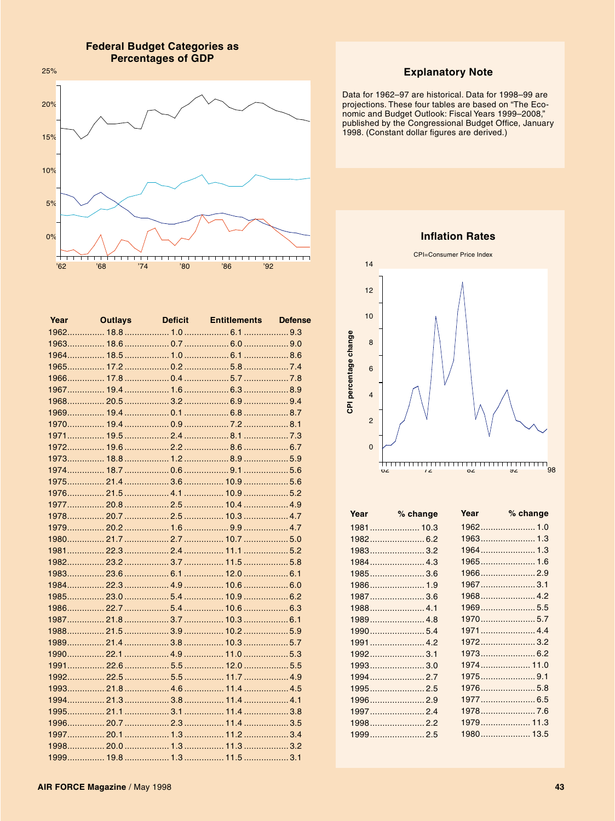**Federal Budget Categories as Percentages of GDP** 



| Year |  | <b>Outlays</b> Deficit Entitlements Defense |  |
|------|--|---------------------------------------------|--|
|      |  |                                             |  |
|      |  |                                             |  |
|      |  |                                             |  |
|      |  |                                             |  |
|      |  |                                             |  |
|      |  |                                             |  |
|      |  |                                             |  |
|      |  |                                             |  |
|      |  |                                             |  |
|      |  |                                             |  |
|      |  |                                             |  |
|      |  |                                             |  |
|      |  |                                             |  |
|      |  |                                             |  |
|      |  |                                             |  |
|      |  |                                             |  |
|      |  |                                             |  |
|      |  |                                             |  |
|      |  |                                             |  |
|      |  |                                             |  |
|      |  |                                             |  |
|      |  |                                             |  |
|      |  |                                             |  |
|      |  |                                             |  |
|      |  |                                             |  |
|      |  |                                             |  |
|      |  |                                             |  |
|      |  |                                             |  |
|      |  |                                             |  |
|      |  |                                             |  |
|      |  |                                             |  |
|      |  |                                             |  |
|      |  |                                             |  |
|      |  |                                             |  |
|      |  |                                             |  |
|      |  |                                             |  |
|      |  |                                             |  |
|      |  |                                             |  |

### **Explanatory Note**

Data for 1962-97 are historical. Data for 1998-99 are projections. These four tables are based on "The Eco-<br>nomic and Budget Outlook: Fiscal Years 1999–2008," published by the Congressional Budget Office, January<br>1998. (Constant dollar figures are derived.)

**Inflation Rates** 



| Year | % change   | Year % change |
|------|------------|---------------|
|      |            |               |
|      |            |               |
|      |            |               |
|      | 1984 4.3   |               |
|      | $1985$ 3.6 | $1966$ 2.9    |
|      | 1986 1.9   | 19673.1       |
|      | 1987 3.6   |               |
|      |            | 1969 5.5      |
|      |            |               |
|      | 19905.4    |               |
|      |            |               |
|      | $1992$ 3.1 |               |
|      | 1993 3.0   | 1974 11.0     |
|      |            | 19759.1       |
|      | 19952.5    | 1976 5.8      |
|      | 1996 2.9   |               |
|      |            |               |
|      |            | 1979 11.3     |
|      | 19992.5    | 1980 13.5     |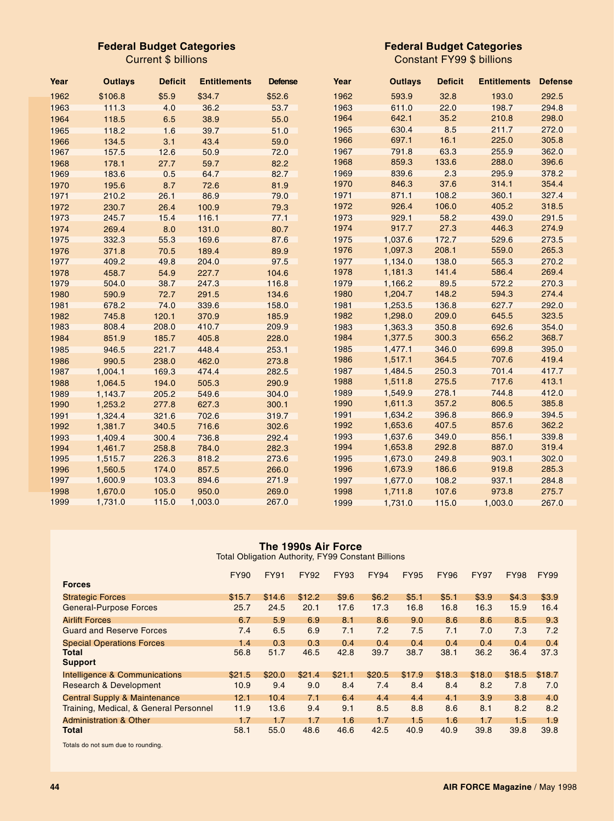### **Federal Budget Categories**

Current \$ billions

### **Federal Budget Categories**

Constant FY99 \$ billions

| Year | <b>Outlays</b> | <b>Deficit</b> | <b>Entitlements</b> | <b>Defense</b> | Year | <b>Outlays</b> | <b>Deficit</b> | <b>Entitlements</b> | <b>Defense</b> |
|------|----------------|----------------|---------------------|----------------|------|----------------|----------------|---------------------|----------------|
| 1962 | \$106.8        | \$5.9          | \$34.7              | \$52.6         | 1962 | 593.9          | 32.8           | 193.0               | 292.5          |
| 1963 | 111.3          | 4.0            | 36.2                | 53.7           | 1963 | 611.0          | 22.0           | 198.7               | 294.8          |
| 1964 | 118.5          | 6.5            | 38.9                | 55.0           | 1964 | 642.1          | 35.2           | 210.8               | 298.0          |
| 1965 | 118.2          | 1.6            | 39.7                | 51.0           | 1965 | 630.4          | 8.5            | 211.7               | 272.0          |
| 1966 | 134.5          | 3.1            | 43.4                | 59.0           | 1966 | 697.1          | 16.1           | 225.0               | 305.8          |
| 1967 | 157.5          | 12.6           | 50.9                | 72.0           | 1967 | 791.8          | 63.3           | 255.9               | 362.0          |
| 1968 | 178.1          | 27.7           | 59.7                | 82.2           | 1968 | 859.3          | 133.6          | 288.0               | 396.6          |
| 1969 | 183.6          | 0.5            | 64.7                | 82.7           | 1969 | 839.6          | 2.3            | 295.9               | 378.2          |
| 1970 | 195.6          | 8.7            | 72.6                | 81.9           | 1970 | 846.3          | 37.6           | 314.1               | 354.4          |
| 1971 | 210.2          | 26.1           | 86.9                | 79.0           | 1971 | 871.1          | 108.2          | 360.1               | 327.4          |
| 1972 | 230.7          | 26.4           | 100.9               | 79.3           | 1972 | 926.4          | 106.0          | 405.2               | 318.5          |
| 1973 | 245.7          | 15.4           | 116.1               | 77.1           | 1973 | 929.1          | 58.2           | 439.0               | 291.5          |
| 1974 | 269.4          | 8.0            | 131.0               | 80.7           | 1974 | 917.7          | 27.3           | 446.3               | 274.9          |
| 1975 | 332.3          | 55.3           | 169.6               | 87.6           | 1975 | 1,037.6        | 172.7          | 529.6               | 273.5          |
| 1976 | 371.8          | 70.5           | 189.4               | 89.9           | 1976 | 1,097.3        | 208.1          | 559.0               | 265.3          |
| 1977 | 409.2          | 49.8           | 204.0               | 97.5           | 1977 | 1,134.0        | 138.0          | 565.3               | 270.2          |
| 1978 | 458.7          | 54.9           | 227.7               | 104.6          | 1978 | 1,181.3        | 141.4          | 586.4               | 269.4          |
| 1979 | 504.0          | 38.7           | 247.3               | 116.8          | 1979 | 1,166.2        | 89.5           | 572.2               | 270.3          |
| 1980 | 590.9          | 72.7           | 291.5               | 134.6          | 1980 | 1,204.7        | 148.2          | 594.3               | 274.4          |
| 1981 | 678.2          | 74.0           | 339.6               | 158.0          | 1981 | 1,253.5        | 136.8          | 627.7               | 292.0          |
| 1982 | 745.8          | 120.1          | 370.9               | 185.9          | 1982 | 1,298.0        | 209.0          | 645.5               | 323.5          |
| 1983 | 808.4          | 208.0          | 410.7               | 209.9          | 1983 | 1,363.3        | 350.8          | 692.6               | 354.0          |
| 1984 | 851.9          | 185.7          | 405.8               | 228.0          | 1984 | 1,377.5        | 300.3          | 656.2               | 368.7          |
| 1985 | 946.5          | 221.7          | 448.4               | 253.1          | 1985 | 1,477.1        | 346.0          | 699.8               | 395.0          |
| 1986 | 990.5          | 238.0          | 462.0               | 273.8          | 1986 | 1,517.1        | 364.5          | 707.6               | 419.4          |
| 1987 | 1,004.1        | 169.3          | 474.4               | 282.5          | 1987 | 1,484.5        | 250.3          | 701.4               | 417.7          |
| 1988 | 1,064.5        | 194.0          | 505.3               | 290.9          | 1988 | 1,511.8        | 275.5          | 717.6               | 413.1          |
| 1989 | 1,143.7        | 205.2          | 549.6               | 304.0          | 1989 | 1,549.9        | 278.1          | 744.8               | 412.0          |
| 1990 | 1,253.2        | 277.8          | 627.3               | 300.1          | 1990 | 1,611.3        | 357.2          | 806.5               | 385.8          |
| 1991 | 1,324.4        | 321.6          | 702.6               | 319.7          | 1991 | 1,634.2        | 396.8          | 866.9               | 394.5          |
| 1992 | 1,381.7        | 340.5          | 716.6               | 302.6          | 1992 | 1,653.6        | 407.5          | 857.6               | 362.2          |
| 1993 | 1,409.4        | 300.4          | 736.8               | 292.4          | 1993 | 1,637.6        | 349.0          | 856.1               | 339.8          |
| 1994 | 1.461.7        | 258.8          | 784.0               | 282.3          | 1994 | 1,653.8        | 292.8          | 887.0               | 319.4          |
| 1995 | 1,515.7        | 226.3          | 818.2               | 273.6          | 1995 | 1,673.0        | 249.8          | 903.1               | 302.0          |
| 1996 | 1,560.5        | 174.0          | 857.5               | 266.0          | 1996 | 1,673.9        | 186.6          | 919.8               | 285.3          |
| 1997 | 1,600.9        | 103.3          | 894.6               | 271.9          | 1997 | 1,677.0        | 108.2          | 937.1               | 284.8          |
| 1998 | 1.670.0        | 105.0          | 950.0               | 269.0          | 1998 | 1,711.8        | 107.6          | 973.8               | 275.7          |
| 1999 | 1,731.0        | 115.0          | 1,003.0             | 267.0          | 1999 | 1,731.0        | 115.0          | 1,003.0             | 267.0          |

### **The 1990s Air Force**

Total Obligation Authority, FY99 Constant Billions

|                                          | <b>FY90</b> | <b>FY91</b> | <b>FY92</b> | <b>FY93</b> | <b>FY94</b> | <b>FY95</b> | <b>FY96</b> | <b>FY97</b> | <b>FY98</b> | <b>FY99</b> |
|------------------------------------------|-------------|-------------|-------------|-------------|-------------|-------------|-------------|-------------|-------------|-------------|
| <b>Forces</b>                            |             |             |             |             |             |             |             |             |             |             |
| <b>Strategic Forces</b>                  | \$15.7      | \$14.6      | \$12.2      | \$9.6       | \$6.2\$     | \$5.1       | \$5.1       | \$3.9       | \$4.3       | \$3.9       |
| <b>General-Purpose Forces</b>            | 25.7        | 24.5        | 20.1        | 17.6        | 17.3        | 16.8        | 16.8        | 16.3        | 15.9        | 16.4        |
| <b>Airlift Forces</b>                    | 6.7         | 5.9         | 6.9         | 8.1         | 8.6         | 9.0         | 8.6         | 8.6         | 8.5         | 9.3         |
| <b>Guard and Reserve Forces</b>          | 7.4         | 6.5         | 6.9         | 7.1         | 7.2         | 7.5         | 7.1         | 7.0         | 7.3         | 7.2         |
| <b>Special Operations Forces</b>         | 1.4         | 0.3         | 0.3         | 0.4         | 0.4         | 0.4         | 0.4         | 0.4         | 0.4         | 0.4         |
| <b>Total</b><br><b>Support</b>           | 56.8        | 51.7        | 46.5        | 42.8        | 39.7        | 38.7        | 38.1        | 36.2        | 36.4        | 37.3        |
| <b>Intelligence &amp; Communications</b> | \$21.5      | \$20.0      | \$21.4      | \$21.1      | \$20.5      | \$17.9      | \$18.3      | \$18.0      | \$18.5      | \$18.7      |
| <b>Research &amp; Development</b>        | 10.9        | 9.4         | 9.0         | 8.4         | 7.4         | 8.4         | 8.4         | 8.2         | 7.8         | 7.0         |
| <b>Central Supply &amp; Maintenance</b>  | 12.1        | 10.4        | 7.1         | 6.4         | 4.4         | 4.4         | 4.1         | 3.9         | 3.8         | 4.0         |
| Training, Medical, & General Personnel   | 11.9        | 13.6        | 9.4         | 9.1         | 8.5         | 8.8         | 8.6         | 8.1         | 8.2         | 8.2         |
| <b>Administration &amp; Other</b>        | 1.7         | 1.7         | 1.7         | 1.6         | 1.7         | 1.5         | 1.6         | 1.7         | 1.5         | 1.9         |
| <b>Total</b>                             | 58.1        | 55.0        | 48.6        | 46.6        | 42.5        | 40.9        | 40.9        | 39.8        | 39.8        | 39.8        |

Totals do not sum due to rounding.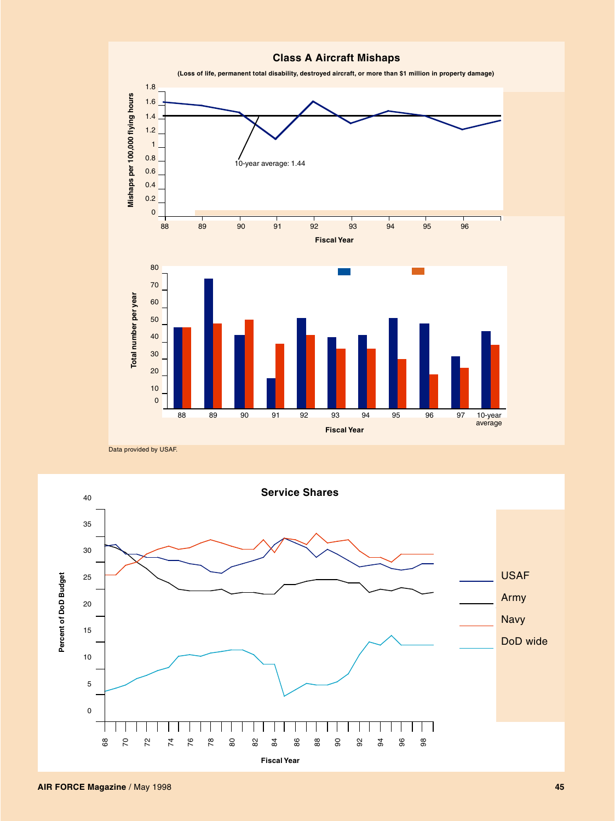

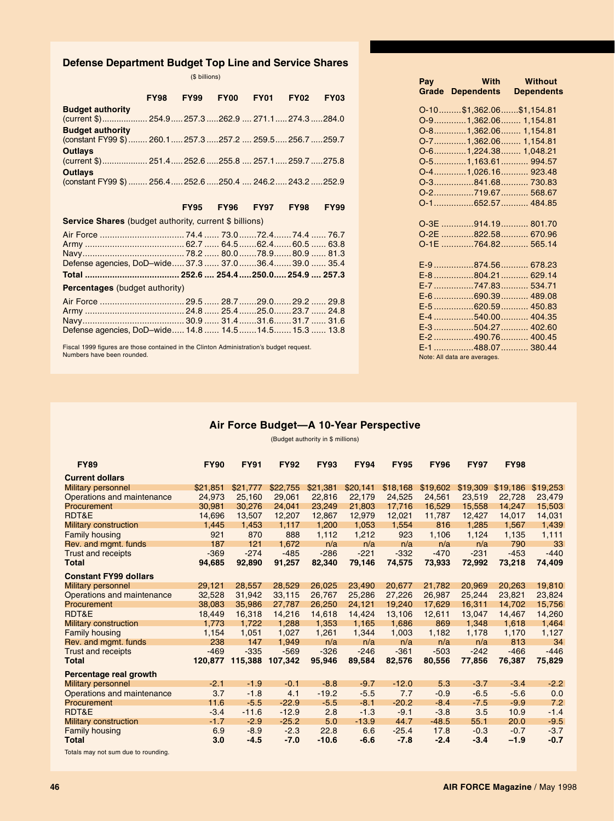### **Defense Department Budget Top Line and Service Shares**

(\$ billions)

|                                                                                         | FY98 FY99 | FY00           | <b>FY01</b> | <b>FY02</b> | <b>FY03</b> |
|-----------------------------------------------------------------------------------------|-----------|----------------|-------------|-------------|-------------|
| <b>Budget authority</b><br>(current \$) 254.9 257.3262.9  271.1 274.3284.0              |           |                |             |             |             |
|                                                                                         |           |                |             |             |             |
| <b>Budget authority</b><br>(constant FY99 \$)  260.1  257.3  257.2  259.5  256.7  259.7 |           |                |             |             |             |
| <b>Outlays</b>                                                                          |           |                |             |             |             |
|                                                                                         |           |                |             |             |             |
| <b>Outlays</b>                                                                          |           |                |             |             |             |
| (constant FY99 \$)  256.4  252.6  250.4  246.2  243.2  252.9                            |           |                |             |             |             |
|                                                                                         |           |                |             |             |             |
|                                                                                         |           |                |             |             |             |
|                                                                                         |           | FY95 FY96 FY97 |             | <b>FY98</b> | <b>FY99</b> |
| <b>Service Shares</b> (budget authority, current \$ billions)                           |           |                |             |             |             |
|                                                                                         |           |                |             |             |             |
|                                                                                         |           |                |             |             |             |
|                                                                                         |           |                |             |             |             |
| Defense agencies, DoD-wide 37.3  37.0  36.4  39.0  35.4                                 |           |                |             |             |             |
|                                                                                         |           |                |             |             |             |
| <b>Percentages</b> (budget authority)                                                   |           |                |             |             |             |
|                                                                                         |           |                |             |             |             |

Fiscal 1999 figures are those contained in the Clinton Administration's budget request. Numbers have been rounded.

Navy......................................... 30.9 ...... 31.4.......31.6....... 31.7 ...... 31.6 Defense agencies, DoD–wide..... 14.8 ...... 14.5.......14.5....... 15.3 ...... 13.8

| Pay | With<br><b>Grade Dependents</b> | <b>Without</b><br><b>Dependents</b> |
|-----|---------------------------------|-------------------------------------|
|     | 0-10\$1,362.06\$1,154.81        |                                     |
|     | 0-91,362.06 1,154.81            |                                     |
|     | 0-81,362.06 1,154.81            |                                     |
|     | 0-71,362.06 1,154.81            |                                     |
|     | 0-61,224.38 1,048.21            |                                     |
|     | 0-51,163.61 994.57              |                                     |
|     | 0-41,026.16 923.48              |                                     |
|     |                                 |                                     |
|     |                                 |                                     |
|     | 0-1652.57 484.85                |                                     |
|     |                                 |                                     |
|     |                                 |                                     |
|     | O-2E 822.58 670.96              |                                     |
|     | O-1E 764.82 565.14              |                                     |
|     |                                 |                                     |
|     | E-9 874.56  678.23              |                                     |
|     | E-8 804.21  629.14              |                                     |
|     | E-7 747.83 534.71               |                                     |
|     | E-6 690.39  489.08              |                                     |
|     | E-5 620.59  450.83              |                                     |
|     |                                 |                                     |
|     | E-3 504.27  402.60              |                                     |
|     | E-2 490.76  400.45              |                                     |
|     | E-1 488.07  380.44              |                                     |
|     | Note: All data are averages.    |                                     |

### **Air Force Budget—A 10-Year Perspective**

(Budget authority in \$ millions)

| <b>FY89</b>                                                      | <b>FY90</b> | <b>FY91</b> | <b>FY92</b> | <b>FY93</b> | <b>FY94</b> | <b>FY95</b> | <b>FY96</b> | <b>FY97</b> | <b>FY98</b> |          |
|------------------------------------------------------------------|-------------|-------------|-------------|-------------|-------------|-------------|-------------|-------------|-------------|----------|
| <b>Current dollars</b>                                           |             |             |             |             |             |             |             |             |             |          |
| <b>Military personnel</b>                                        | \$21,851    | \$21,777    | \$22,755    | \$21,381    | \$20,141    | \$18,168    | \$19,602    | \$19,309    | \$19,186    | \$19,253 |
| Operations and maintenance                                       | 24.973      | 25.160      | 29.061      | 22.816      | 22.179      | 24.525      | 24.561      | 23.519      | 22.728      | 23.479   |
| Procurement                                                      | 30,981      | 30.276      | 24,041      | 23,249      | 21,803      | 17,716      | 16,529      | 15,558      | 14.247      | 15,503   |
| RDT&E                                                            | 14.696      | 13,507      | 12,207      | 12,867      | 12,979      | 12,021      | 11,787      | 12,427      | 14,017      | 14,031   |
| <b>Military construction</b>                                     | 1,445       | 1,453       | 1,117       | 1,200       | 1,053       | 1,554       | 816         | 1,285       | 1,567       | 1,439    |
| <b>Family housing</b>                                            | 921         | 870         | 888         | 1,112       | 1,212       | 923         | 1,106       | 1,124       | 1,135       | 1,111    |
| Rev. and mgmt. funds                                             | 187         | 121         | 1,672       | n/a         | n/a         | n/a         | n/a         | n/a         | 790         | 33       |
| <b>Trust and receipts</b>                                        | $-369$      | $-274$      | $-485$      | $-286$      | $-221$      | $-332$      | $-470$      | $-231$      | $-453$      | $-440$   |
| Total                                                            | 94.685      | 92,890      | 91,257      | 82,340      | 79,146      | 74,575      | 73,933      | 72,992      | 73,218      | 74,409   |
| <b>Constant FY99 dollars</b>                                     |             |             |             |             |             |             |             |             |             |          |
| <b>Military personnel</b>                                        | 29,121      | 28,557      | 28,529      | 26,025      | 23,490      | 20,677      | 21,782      | 20,969      | 20,263      | 19,810   |
| Operations and maintenance                                       | 32,528      | 31,942      | 33,115      | 26,767      | 25,286      | 27,226      | 26,987      | 25,244      | 23,821      | 23,824   |
| Procurement                                                      | 38.083      | 35,986      | 27,787      | 26,250      | 24,121      | 19.240      | 17.629      | 16,311      | 14.702      | 15,756   |
| RDT&E                                                            | 18.449      | 16,318      | 14,216      | 14,618      | 14,424      | 13,106      | 12,611      | 13,047      | 14,467      | 14,260   |
| <b>Military construction</b>                                     | 1.773       | 1.722       | 1.288       | 1,353       | 1,165       | 1,686       | 869         | 1.348       | 1,618       | 1,464    |
| <b>Family housing</b>                                            | 1,154       | 1,051       | 1,027       | 1,261       | 1,344       | 1,003       | 1,182       | 1,178       | 1,170       | 1,127    |
| Rev. and mgmt. funds                                             | 238         | 147         | 1,949       | n/a         | n/a         | n/a         | n/a         | n/a         | 813         | 34       |
| <b>Trust and receipts</b>                                        | $-469$      | $-335$      | $-569$      | $-326$      | $-246$      | $-361$      | $-503$      | $-242$      | $-466$      | $-446$   |
| Total                                                            | 120,877     | 115,388     | 107,342     | 95,946      | 89,584      | 82,576      | 80,556      | 77,856      | 76,387      | 75,829   |
| Percentage real growth                                           |             |             |             |             |             |             |             |             |             |          |
| <b>Military personnel</b>                                        | $-2.1$      | $-1.9$      | $-0.1$      | $-8.8$      | $-9.7$      | $-12.0$     | 5.3         | $-3.7$      | $-3.4$      | $-2.2$   |
| Operations and maintenance                                       | 3.7         | $-1.8$      | 4.1         | $-19.2$     | $-5.5$      | 7.7         | $-0.9$      | $-6.5$      | $-5.6$      | 0.0      |
| Procurement                                                      | 11.6        | $-5.5$      | $-22.9$     | $-5.5$      | $-8.1$      | $-20.2$     | $-8.4$      | $-7.5$      | $-9.9$      | 7.2      |
| RDT&E                                                            | $-3.4$      | $-11.6$     | $-12.9$     | 2.8         | $-1.3$      | $-9.1$      | $-3.8$      | 3.5         | 10.9        | $-1.4$   |
| <b>Military construction</b>                                     | $-1.7$      | $-2.9$      | $-25.2$     | 5.0         | $-13.9$     | 44.7        | $-48.5$     | 55.1        | 20.0        | $-9.5$   |
| <b>Family housing</b>                                            | 6.9         | $-8.9$      | $-2.3$      | 22.8        | 6.6         | $-25.4$     | 17.8        | $-0.3$      | $-0.7$      | $-3.7$   |
| <b>Total</b>                                                     | 3.0         | $-4.5$      | $-7.0$      | $-10.6$     | $-6.6$      | $-7.8$      | $-2.4$      | $-3.4$      | $-1.9$      | $-0.7$   |
| The books are seen to substitute the second of the second of the |             |             |             |             |             |             |             |             |             |          |

Totals may not sum due to rounding.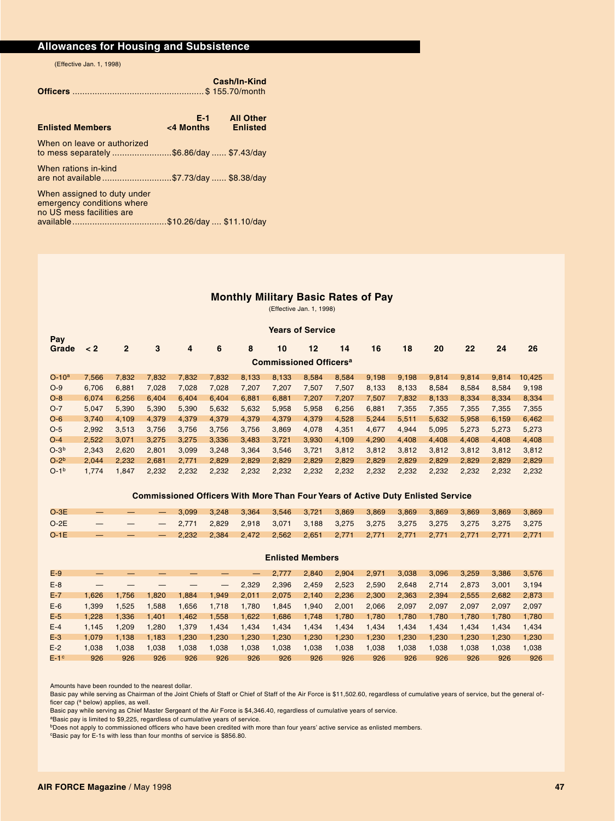### **Allowances for Housing and Subsistence**

(Effective Jan. 1, 1998)

|                                                                                        |                  | Cash/In-Kind                        |
|----------------------------------------------------------------------------------------|------------------|-------------------------------------|
| <b>Enlisted Members</b>                                                                | E-1<br><4 Months | <b>All Other</b><br><b>Enlisted</b> |
| When on leave or authorized<br>to mess separately \$6.86/day  \$7.43/day               |                  |                                     |
| When rations in-kind<br>are not available \$7.73/day  \$8.38/day                       |                  |                                     |
| When assigned to duty under<br>emergency conditions where<br>no US mess facilities are |                  |                                     |
|                                                                                        |                  |                                     |

### **Monthly Military Basic Rates of Pay**

(Effective Jan. 1, 1998)

### **Years of Service Pay Grade < 2 2 3 4 6 8 10 12 14 16 18 20 22 24 26 Commissioned Officersa** O-10a 7,566 7,832 7,832 7,832 7,832 8,133 8,133 8,584 8,584 9,198 9,198 9,814 9,814 9,814 10,425 O-9 6,706 6,881 7,028 7,028 7,028 7,207 7,207 7,507 7,507 8,133 8,133 8,584 8,584 8,584 9,198<br>O-8 6,074 6,256 6,404 6,404 6,404 6,881 6,881 7,207 7,207 7.507 7.832 8.133 8.334 8.334 8.334 O-8 6,074 6,256 6,404 6,404 6,404 6,881 6,881 7,207 7,207 7,507 7,832 8,133 8,334 8,334 8,334 O-7 5,047 5,390 5,390 5,390 5,632 5,632 5,958 5,958 6,256 6,881 7,355 7,355 7,355 7,355 7,355 O-6 3,740 4,109 4,379 4,379 4,379 4,379 4,379 4,379 4,528 5,244 5,511 5,632 5,958 6,159 6,462 O-5 2,992 3,513 3,756 3,756 3,756 3,756 3,869 4,078 4,351 4,677 4,944 5,095 5,273 5,273 5,273 O-4 2,522 3,071 3,275 3,275 3,336 3,483 3,721 3,930 4,109 4,290 4,408 4,408 4,408 4,408 4,408 O-3b 2,343 2,620 2,801 3,099 3,248 3,364 3,546 3,721 3,812 3,812 3,812 3,812 3,812 3,812 3,812 O-2b 2,044 2,232 2,681 2,771 2,829 2,829 2,829 2,829 2,829 2,829 2,829 2,829 2,829 2,829 2,829 O-1b 1,774 1,847 2,232 2,232 2,232 2,232 2,232 2,232 2,232 2,232 2,232 2,232 2,232 2,232 2,232

### **Commissioned Officers With More Than Four Years of Active Duty Enlisted Service**

| $O-3E$ | $-$                      |  |  | $-$ 3,099 3,248 3,364 3,546 3,721 3,869 3,869 3,869 3,869 3,869 3,869 3,869          |  |  |  |  |  |
|--------|--------------------------|--|--|--------------------------------------------------------------------------------------|--|--|--|--|--|
| $O-2E$ | $\overline{\phantom{m}}$ |  |  | - 2,771  2,829  2,918  3,071  3,188  3,275  3,275  3,275  3,275  3,275  3,275  3,275 |  |  |  |  |  |
| $O-1E$ | $-$                      |  |  | - 2,232 2,384 2,472 2,562 2,651 2,771 2,771 2,771 2,771 2,771 2,771 2,771 2,771      |  |  |  |  |  |

### **Enlisted Members**

| $E-9$  |       |       |       |       |       | $\overline{\phantom{0}}$ | 2.777 | 2.840 | 2,904 | 2,971 | 3,038 | 3,096 | 3,259 | 3.386 | 3.576 |
|--------|-------|-------|-------|-------|-------|--------------------------|-------|-------|-------|-------|-------|-------|-------|-------|-------|
| $E-8$  |       |       |       |       |       | 2.329                    | 2,396 | 2.459 | 2.523 | 2,590 | 2.648 | 2.714 | 2.873 | 3.001 | 3.194 |
| $E-7$  | 1.626 | 1.756 | 1.820 | 1,884 | 1,949 | 2,011                    | 2,075 | 2,140 | 2,236 | 2,300 | 2,363 | 2.394 | 2.555 | 2.682 | 2.873 |
| $E-6$  | 1.399 | 1.525 | 1.588 | 1,656 | 1,718 | 1.780                    | 1,845 | 1,940 | 2,001 | 2,066 | 2.097 | 2.097 | 2.097 | 2.097 | 2.097 |
| $E-5$  | 1.228 | 1.336 | 1.401 | 1.462 | 1,558 | 1,622                    | 1,686 | 1,748 | 1,780 | 1,780 | 1.780 | 1.780 | 1.780 | 1.780 | 1.780 |
| $E-4$  | 1.145 | 1.209 | 1.280 | 1,379 | 1,434 | 1,434                    | 1,434 | 1,434 | 1,434 | 1,434 | 1.434 | 1.434 | 1.434 | 1.434 | 1.434 |
| $E-3$  | 1.079 | 1.138 | 1.183 | 1.230 | 1.230 | 1,230                    | 1,230 | 1,230 | 1,230 | 1,230 | 1.230 | 1.230 | 1.230 | 1.230 | 1.230 |
| $E-2$  | .038  | 1.038 | 1.038 | 0.038 | 1.038 | 1,038                    | 1,038 | 1,038 | 1,038 | 1,038 | 1.038 | 1.038 | 1.038 | 1.038 | 1.038 |
| $E-1c$ | 926   | 926   | 926   | 926   | 926   | 926                      | 926   | 926   | 926   | 926   | 926   | 926   | 926   | 926   | 926   |

Amounts have been rounded to the nearest dollar.

Basic pay while serving as Chairman of the Joint Chiefs of Staff or Chief of Staff of the Air Force is \$11,502.60, regardless of cumulative years of service, but the general officer cap (<sup>a</sup> below) applies, as well.

Basic pay while serving as Chief Master Sergeant of the Air Force is \$4,346.40, regardless of cumulative years of service.

aBasic pay is limited to \$9,225, regardless of cumulative years of service.

bDoes not apply to commissioned officers who have been credited with more than four years' active service as enlisted members.

<sup>c</sup>Basic pay for E-1s with less than four months of service is \$856.80.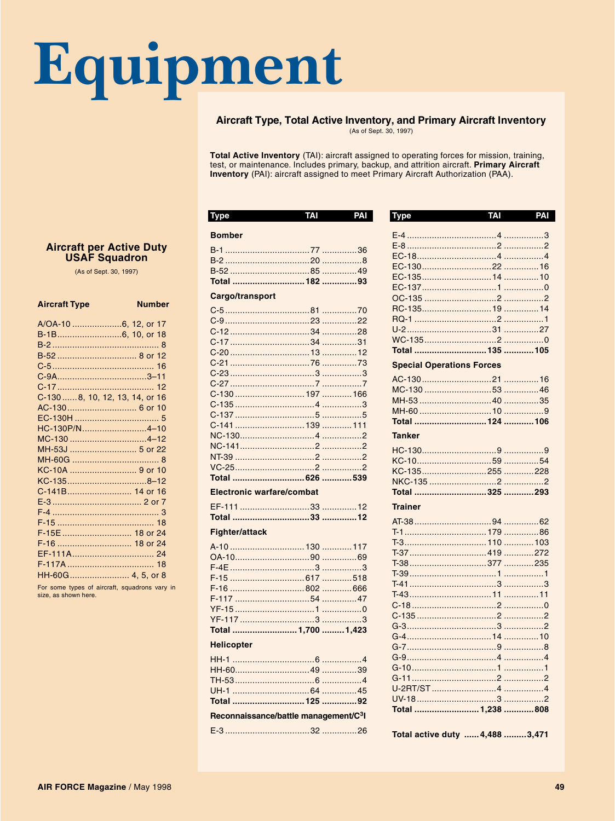## Equipment

T.

### Aircraft Type, Total Active Inventory, and Primary Aircraft Inventory

(As of Sept. 30, 1997)

**Type** 

Total Active Inventory (TAI): aircraft assigned to operating forces for mission, training, test, or maintenance. Includes primary, backup, and attrition aircraft. Primary Aircraft Inventory (PAI): aircraft assigned to meet Primary Aircraft Authorization (PAA).

 $\overline{\phantom{a}}$ 

| ı y pe                                            |  |
|---------------------------------------------------|--|
| <b>Bomber</b>                                     |  |
|                                                   |  |
|                                                   |  |
|                                                   |  |
|                                                   |  |
| Cargo/transport                                   |  |
|                                                   |  |
|                                                   |  |
|                                                   |  |
| C-17……………………………34 ……………31                         |  |
|                                                   |  |
|                                                   |  |
|                                                   |  |
|                                                   |  |
|                                                   |  |
|                                                   |  |
|                                                   |  |
|                                                   |  |
|                                                   |  |
|                                                   |  |
|                                                   |  |
|                                                   |  |
| <b>Electronic warfare/combat</b>                  |  |
|                                                   |  |
|                                                   |  |
| <b>Fighter/attack</b>                             |  |
|                                                   |  |
|                                                   |  |
|                                                   |  |
|                                                   |  |
|                                                   |  |
|                                                   |  |
|                                                   |  |
|                                                   |  |
| Total  1,700  1,423                               |  |
| <b>Helicopter</b>                                 |  |
|                                                   |  |
|                                                   |  |
|                                                   |  |
|                                                   |  |
|                                                   |  |
| Reconnaissance/battle management/C <sup>3</sup> I |  |

 $TAT$ 

| <b>Special Operations Forces</b> |  |
|----------------------------------|--|
|                                  |  |
|                                  |  |
|                                  |  |
|                                  |  |
|                                  |  |
| <b>Tanker</b>                    |  |
|                                  |  |
|                                  |  |
|                                  |  |
|                                  |  |
|                                  |  |
|                                  |  |
| <b>Trainer</b>                   |  |
|                                  |  |
|                                  |  |
|                                  |  |
|                                  |  |
|                                  |  |
|                                  |  |
|                                  |  |
|                                  |  |
|                                  |  |
|                                  |  |
|                                  |  |
|                                  |  |
|                                  |  |
|                                  |  |
|                                  |  |
|                                  |  |
|                                  |  |
|                                  |  |
| Total  1.238 808                 |  |

**TAI** 

PAI

Total active duty ...... 4,488 ......... 3,471

### **Aircraft per Active Duty USAF Squadron**

(As of Sept. 30, 1997)

### **Aircraft Type**

**Number** 

| B-52  8 or 12                   |
|---------------------------------|
|                                 |
|                                 |
|                                 |
| C-130  8, 10, 12, 13, 14, or 16 |
|                                 |
|                                 |
| HC-130P/N4-10                   |
|                                 |
|                                 |
|                                 |
|                                 |
| KC-1358–12                      |
| C-141B 14 or 16                 |
|                                 |
|                                 |
|                                 |
| F-15E  18 or 24                 |
| F-16  18 or 24                  |
|                                 |
|                                 |
| HH-60G 4, 5, or 8               |

For some types of aircraft, squadrons vary in size, as shown here.

### AIR FORCE Magazine / May 1998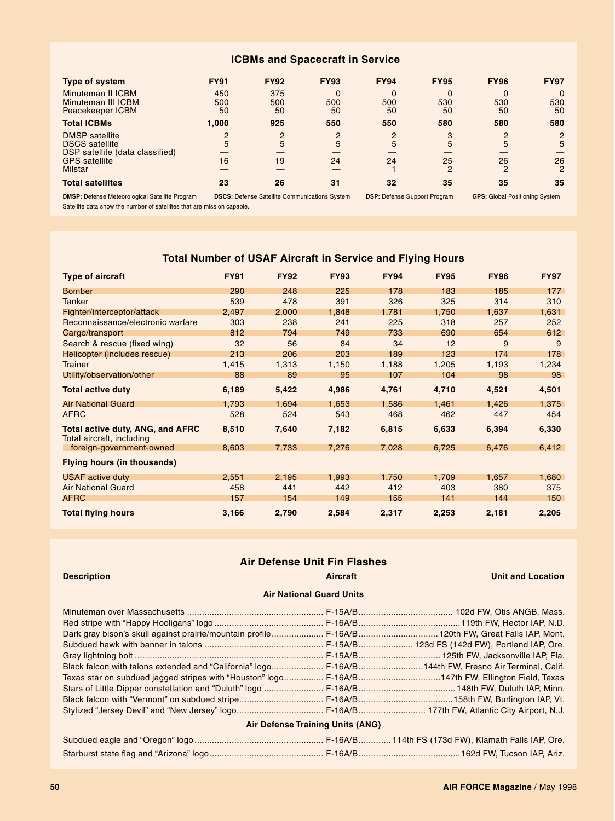### **ICBMs and Spacecraft in Service**

| <b>Type of system</b>                                                     | <b>FY91</b>         | <b>FY92</b>         | <b>FY93</b>    | <b>FY94</b> | <b>FY95</b>         | <b>FY96</b>           | <b>FY97</b>          |
|---------------------------------------------------------------------------|---------------------|---------------------|----------------|-------------|---------------------|-----------------------|----------------------|
| Minuteman II ICBM<br>Minuteman III ICBM<br>Peacekeeper ICBM               | 450<br>500<br>50    | 375<br>500<br>50    | 0<br>500<br>50 | 500<br>50   | 0<br>530<br>50      | $\Omega$<br>530<br>50 | 530<br>50            |
| <b>Total ICBMs</b>                                                        | 1.000               | 925                 | 550            | 550         | 580                 | 580                   | 580                  |
| <b>DMSP</b> satellite<br><b>DSCS</b> satellite                            | $\overline{2}$<br>5 | $\overline{2}$<br>5 | 2<br>5         | 2<br>5      | 3<br>5              | $\circ$<br>5          | 2<br>5               |
| DSP satellite (data classified)<br><b>GPS</b> satellite<br><b>Milstar</b> | 16                  | 19                  | 24             | 24          | 25<br>$\mathcal{P}$ | 26<br>$\mathcal{P}$   | 26<br>$\overline{2}$ |
| <b>Total satellites</b>                                                   | 23                  | 26                  | 31             | 32          | 35                  | 35                    | 35                   |

**DMSP:** Defense Meteorological Satellite Program **DSCS:** Defense Satellite Communications System **DSP:** Defense Support Program **GPS:** Global Positioning System Satellite data show the number of satellites that are mission capable.

### **Total Number of USAF Aircraft in Service and Flying Hours**

| <b>Type of aircraft</b>                                              | <b>FY91</b> | <b>FY92</b> | <b>FY93</b> | <b>FY94</b> | <b>FY95</b> | <b>FY96</b> | <b>FY97</b> |
|----------------------------------------------------------------------|-------------|-------------|-------------|-------------|-------------|-------------|-------------|
| <b>Bomber</b>                                                        | 290         | 248         | 225         | 178         | 183         | 185         | 177         |
| <b>Tanker</b>                                                        | 539         | 478         | 391         | 326         | 325         | 314         | 310         |
| Fighter/interceptor/attack                                           | 2,497       | 2,000       | 1,848       | 1,781       | 1,750       | 1,637       | 1,631       |
| Reconnaissance/electronic warfare                                    | 303         | 238         | 241         | 225         | 318         | 257         | 252         |
| Cargo/transport                                                      | 812         | 794         | 749         | 733         | 690         | 654         | 612         |
| Search & rescue (fixed wing)                                         | 32          | 56          | 84          | 34          | 12          | 9           | 9           |
| Helicopter (includes rescue)                                         | 213         | 206         | 203         | 189         | 123         | 174         | 178         |
| <b>Trainer</b>                                                       | 1,415       | 1,313       | 1,150       | 1,188       | 1,205       | 1,193       | 1,234       |
| Utility/observation/other                                            | 88          | 89          | 95          | 107         | 104         | 98          | 98          |
| <b>Total active duty</b>                                             | 6,189       | 5,422       | 4,986       | 4,761       | 4,710       | 4,521       | 4,501       |
| <b>Air National Guard</b>                                            | 1,793       | 1,694       | 1,653       | 1,586       | 1,461       | 1,426       | 1,375       |
| <b>AFRC</b>                                                          | 528         | 524         | 543         | 468         | 462         | 447         | 454         |
| <b>Total active duty, ANG, and AFRC</b><br>Total aircraft, including | 8,510       | 7,640       | 7,182       | 6,815       | 6,633       | 6,394       | 6,330       |
| foreign-government-owned                                             | 8,603       | 7,733       | 7,276       | 7,028       | 6,725       | 6,476       | 6,412       |
| <b>Flying hours (in thousands)</b>                                   |             |             |             |             |             |             |             |
| <b>USAF</b> active duty                                              | 2,551       | 2,195       | 1,993       | 1,750       | 1,709       | 1,657       | 1,680       |
| <b>Air National Guard</b>                                            | 458         | 441         | 442         | 412         | 403         | 380         | 375         |
| <b>AFRC</b>                                                          | 157         | 154         | 149         | 155         | 141         | 144         | 150         |
| <b>Total flying hours</b>                                            | 3,166       | 2,790       | 2,584       | 2,317       | 2,253       | 2,181       | 2,205       |

### **Air Defense Unit Fin Flashes**

### **Description Aircraft Unit and Location**

### **Air National Guard Units**

| Dark gray bison's skull against prairie/mountain profile F-16A/B 120th FW, Great Falls IAP, Mont.    |  |  |  |  |  |  |  |
|------------------------------------------------------------------------------------------------------|--|--|--|--|--|--|--|
|                                                                                                      |  |  |  |  |  |  |  |
|                                                                                                      |  |  |  |  |  |  |  |
| Black falcon with talons extended and "California" logo F-16A/B144th FW, Fresno Air Terminal, Calif. |  |  |  |  |  |  |  |
| Texas star on subdued jagged stripes with "Houston" logo F-16A/B147th FW, Ellington Field, Texas     |  |  |  |  |  |  |  |
|                                                                                                      |  |  |  |  |  |  |  |
|                                                                                                      |  |  |  |  |  |  |  |
|                                                                                                      |  |  |  |  |  |  |  |
| <b>Air Defense Training Units (ANG)</b>                                                              |  |  |  |  |  |  |  |
|                                                                                                      |  |  |  |  |  |  |  |
|                                                                                                      |  |  |  |  |  |  |  |

### **50 AIR FORCE Magazine** / May 1998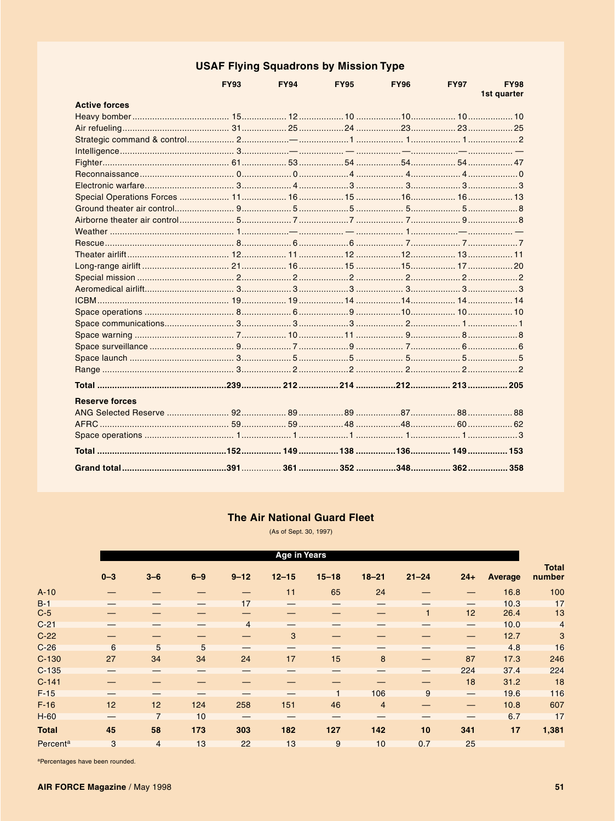### **USAF Flying Squadrons by Mission Type**

|                       | <b>FY93</b> | <b>FY94</b> | <b>FY95</b> | <b>FY96</b> | <b>FY97</b> | <b>FY98</b><br>1st quarter |
|-----------------------|-------------|-------------|-------------|-------------|-------------|----------------------------|
| <b>Active forces</b>  |             |             |             |             |             |                            |
|                       |             |             |             |             |             |                            |
|                       |             |             |             |             |             |                            |
|                       |             |             |             |             |             |                            |
|                       |             |             |             |             |             |                            |
|                       |             |             |             |             |             |                            |
|                       |             |             |             |             |             |                            |
|                       |             |             |             |             |             |                            |
|                       |             |             |             |             |             |                            |
|                       |             |             |             |             |             |                            |
|                       |             |             |             |             |             |                            |
|                       |             |             |             |             |             |                            |
|                       |             |             |             |             |             |                            |
|                       |             |             |             |             |             |                            |
|                       |             |             |             |             |             |                            |
|                       |             |             |             |             |             |                            |
|                       |             |             |             |             |             |                            |
|                       |             |             |             |             |             |                            |
|                       |             |             |             |             |             |                            |
|                       |             |             |             |             |             |                            |
|                       |             |             |             |             |             |                            |
|                       |             |             |             |             |             |                            |
|                       |             |             |             |             |             |                            |
|                       |             |             |             |             |             |                            |
|                       |             |             |             |             |             |                            |
| <b>Reserve forces</b> |             |             |             |             |             |                            |
|                       |             |             |             |             |             |                            |
|                       |             |             |             |             |             |                            |
|                       |             |             |             |             |             |                            |
|                       |             |             |             |             |             |                            |
|                       |             |             |             |             |             |                            |

### **The Air National Guard Fleet**

(As of Sept. 30, 1997)

|                            | <b>Age in Years</b> |                |         |                          |                          |                |                |              |                                 |                |                        |
|----------------------------|---------------------|----------------|---------|--------------------------|--------------------------|----------------|----------------|--------------|---------------------------------|----------------|------------------------|
|                            | $0 - 3$             | $3 - 6$        | $6 - 9$ | $9 - 12$                 | $12 - 15$                | $15 - 18$      | $18 - 21$      | $21 - 24$    | $24+$                           | <b>Average</b> | <b>Total</b><br>number |
| $A-10$                     |                     |                |         |                          | 11                       | 65             | 24             |              |                                 | 16.8           | 100                    |
| $B-1$                      |                     |                |         | 17                       |                          |                |                |              | $\hspace{0.05cm}$               | 10.3           | 17                     |
| $C-5$                      |                     |                |         |                          |                          |                |                | $\mathbf{1}$ | 12                              | 26.4           | 13                     |
| $C-21$                     |                     |                |         | $\overline{4}$           |                          |                |                |              |                                 | 10.0           | $\overline{4}$         |
| $C-22$                     |                     |                |         | $\overline{\phantom{0}}$ | 3                        |                |                |              | —                               | 12.7           | 3                      |
| $C-26$                     | 6                   | 5              | 5       | $\hspace{0.05cm}$        | $\overline{\phantom{0}}$ |                |                |              | $\hspace{0.1mm}-\hspace{0.1mm}$ | 4.8            | 16                     |
| $C-130$                    | 27                  | 34             | 34      | 24                       | 17                       | 15             | 8              |              | 87                              | 17.3           | 246                    |
| $C-135$                    |                     |                |         |                          |                          |                |                |              | 224                             | 37.4           | 224                    |
| $C-141$                    |                     |                |         |                          |                          |                |                |              | 18                              | 31.2           | 18                     |
| $F-15$                     |                     |                |         | —                        |                          | $\overline{1}$ | 106            | 9            | $\hspace{0.05cm}$               | 19.6           | 116                    |
| $F-16$                     | 12                  | 12             | 124     | 258                      | 151                      | 46             | $\overline{4}$ |              | —                               | 10.8           | 607                    |
| $H-60$                     |                     | $\overline{7}$ | 10      | —                        |                          |                |                |              |                                 | 6.7            | 17                     |
| <b>Total</b>               | 45                  | 58             | 173     | 303                      | 182                      | 127            | 142            | 10           | 341                             | 17             | 1,381                  |
| <b>Percent<sup>a</sup></b> | 3                   | $\overline{4}$ | 13      | 22                       | 13                       | 9              | 10             | 0.7          | 25                              |                |                        |

<sup>a</sup>Percentages have been rounded.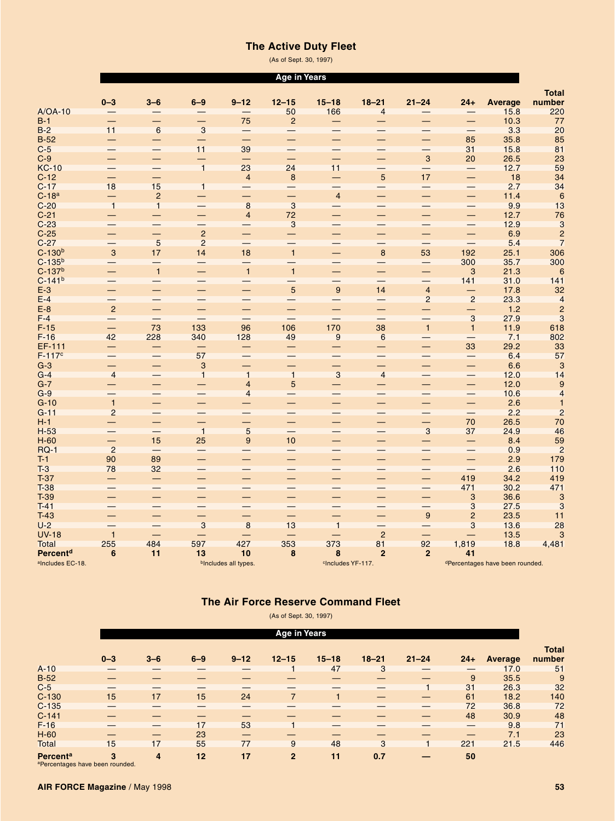### **The Active Duty Fleet**

(As of Sept.30, 1997)

|                              |                          |                          |                          |                          | <b>Age in Years</b>       |                               |                          |                           |                          |                                 |                                                 |
|------------------------------|--------------------------|--------------------------|--------------------------|--------------------------|---------------------------|-------------------------------|--------------------------|---------------------------|--------------------------|---------------------------------|-------------------------------------------------|
|                              |                          |                          |                          |                          |                           |                               |                          |                           |                          |                                 | <b>Total</b>                                    |
|                              | $0 - 3$                  | $3-6$                    | $6 - 9$                  | $9 - 12$                 | $12 - 15$                 | $15 - 18$                     | $18 - 21$                | $21 - 24$                 | $24+$                    | <b>Average</b>                  | number                                          |
| $A/OA-10$                    |                          |                          |                          |                          | 50                        | 166                           | $\overline{4}$           |                           |                          | 15.8                            | 220                                             |
| $B-1$                        |                          | $\overline{\phantom{0}}$ | $\overline{\phantom{0}}$ | 75                       | $\overline{2}$            |                               | $\overline{\phantom{0}}$ |                           |                          | 10.3                            | 77                                              |
| $B-2$                        | 11                       | $6\overline{6}$          | $\overline{3}$           | $\qquad \qquad -$        |                           |                               |                          | $\overline{\phantom{0}}$  |                          | 3.3                             | 20                                              |
| $B-52$                       |                          | <u>—</u>                 |                          | $\equiv$                 | —                         | -                             |                          | —                         | 85                       | 35.8                            | 85                                              |
| $C-5$                        |                          |                          | 11                       | 39                       | $\equiv$                  |                               |                          | —                         | 31                       | 15.8                            | 81                                              |
| $C-9$                        |                          | —                        | —                        | $\qquad \qquad -$        |                           |                               |                          | $\ensuremath{\mathsf{3}}$ | 20                       | 26.5                            | 23                                              |
| <b>KC-10</b>                 |                          | $\overline{\phantom{0}}$ | $\overline{1}$           | 23                       | 24                        | 11                            | $\equiv$                 | $\equiv$                  |                          | 12.7                            | 59                                              |
| $C-12$                       |                          | $\overline{\phantom{0}}$ |                          | $\overline{4}$           | 8                         | —                             | 5                        | 17                        | $\overline{\phantom{0}}$ | 18                              | 34                                              |
| $C-17$                       | 18                       | 15                       | $\overline{1}$           | $\qquad \qquad -$        | $\equiv$                  | $\overline{\phantom{0}}$      | $\overline{\phantom{0}}$ | $\overline{\phantom{0}}$  | $\qquad \qquad -$        | 2.7                             | $\frac{34}{6}$                                  |
| $C-18a$                      |                          | $\overline{2}$           | $\overline{\phantom{0}}$ | $\overline{\phantom{0}}$ | -                         | $\overline{4}$                |                          |                           | -                        | 11.4                            |                                                 |
| $C-20$                       | $\overline{1}$           | $\overline{1}$           |                          | $\overline{8}$           | 3                         |                               | $\overline{\phantom{0}}$ | $\qquad \qquad -$         | $\qquad \qquad -$        | 9.9                             | 13                                              |
| $C-21$                       |                          |                          | —                        | $\overline{4}$           | 72                        |                               |                          |                           |                          | 12.7                            | $\begin{array}{c}\n 76 \\ 3 \\ 2\n \end{array}$ |
| $C-23$                       |                          | $\equiv$                 |                          | —                        | $\ensuremath{\mathsf{3}}$ |                               |                          | —                         | —                        | 12.9                            |                                                 |
| $C-25$                       |                          | —                        | $\sqrt{2}$               | —                        | $\equiv$                  | $\overline{\phantom{0}}$      | —                        | $\overline{\phantom{0}}$  | —                        | 6.9                             |                                                 |
| $C-27$                       |                          | $5\phantom{1}$           | $\overline{2}$           | -                        | $\equiv$                  |                               | $\qquad \qquad$          | $\qquad \qquad -$         |                          | 5.4                             | $\overline{7}$                                  |
| $C-130b$                     | 3                        | 17                       | 14                       | 18                       | $\overline{1}$            | $\overline{\phantom{0}}$      | $\bf 8$                  | 53                        | 192                      | 25.1                            | 306                                             |
| $C-135^{b}$                  |                          | $\overline{\phantom{0}}$ |                          | $\qquad \qquad -$        | —                         |                               | $\overline{\phantom{0}}$ | $\qquad \qquad -$         | 300                      | 35.7                            | 300                                             |
| $C-137b$                     |                          | $\overline{1}$           | -                        | $\overline{1}$           | $\overline{1}$            | —                             | —                        | —                         | 3                        | 21.3                            | $\boldsymbol{6}$                                |
| $C-141^{b}$                  |                          |                          |                          | $\overline{\phantom{0}}$ |                           |                               |                          | $\overline{\phantom{0}}$  | 141                      | 31.0                            | 141                                             |
| $E-3$                        |                          | —                        | —                        |                          | $\overline{5}$            | 9                             | 14                       | $\overline{4}$            | —                        | 17.8                            | 32                                              |
| $E-4$                        | $\overline{\phantom{0}}$ | $\qquad \qquad -$        | $\overline{\phantom{0}}$ |                          | —                         |                               | $\qquad \qquad -$        | $\overline{2}$            | $\overline{2}$           | 23.3                            | $\overline{4}$                                  |
| $E-8$                        | $\overline{2}$           | —                        | $\overline{\phantom{0}}$ | -                        | ♦                         |                               |                          | $\overline{\phantom{0}}$  | $\overline{\phantom{0}}$ | $1.2$                           | $\overline{c}$                                  |
| $F-4$                        | $\overline{\phantom{0}}$ | $\qquad \qquad -$        | $\overline{\phantom{0}}$ | $\overline{\phantom{m}}$ | $\qquad \qquad -$         | $\overline{\phantom{0}}$      | $\overline{\phantom{0}}$ | $\overline{\phantom{0}}$  | $\mathbf{3}$             | 27.9                            | $\mathbf{3}$                                    |
| $F-15$                       |                          | 73                       | 133                      | 96                       | 106                       | 170                           | 38                       | $\overline{1}$            | $\mathbf{1}$             | 11.9                            | 618                                             |
| $F-16$                       | 42                       | 228                      | 340                      | 128                      | 49                        | $\overline{9}$                | 6                        |                           |                          | 7.1                             | 802                                             |
| EF-111                       |                          |                          |                          | -                        | $\qquad \qquad -$         |                               | —                        |                           | 33                       | 29.2                            | 33                                              |
| $F-117c$                     |                          | $\overline{\phantom{0}}$ | 57                       |                          | $\overline{\phantom{0}}$  |                               |                          | $\equiv$                  | $\overline{\phantom{0}}$ | 6.4                             | 57                                              |
| $G-3$                        | $\qquad \qquad -$        | —                        | 3                        |                          | —                         | $\qquad \qquad -$             | $\equiv$                 | —                         | —                        | 6.6                             | 3                                               |
| $G-4$                        | $\overline{4}$           |                          | $\overline{1}$           | $\overline{1}$           | $\overline{1}$            | 3                             | $\overline{4}$           |                           |                          | 12.0                            | 14                                              |
| $G-7$                        |                          | -                        | $\overline{\phantom{0}}$ | $\overline{4}$           | 5                         | $\equiv$                      | $\overline{\phantom{0}}$ | $\overline{\phantom{0}}$  | $\overline{\phantom{0}}$ | 12.0                            | 9                                               |
| $G-9$                        |                          | $\overline{\phantom{0}}$ | —                        | $\overline{4}$           |                           |                               |                          | —                         | —                        | 10.6                            | $\overline{\mathbf{r}}$                         |
| $G-10$                       | $\overline{1}$           | —                        | —                        |                          | —                         |                               |                          | —                         | —                        | 2.6                             | $\mathbf{1}$                                    |
| $G-11$                       | $\overline{2}$           |                          | $\overline{\phantom{0}}$ | $\overline{\phantom{0}}$ | $\equiv$                  | $\overline{\phantom{0}}$      | $\overline{\phantom{0}}$ | $\overline{\phantom{0}}$  |                          | 2.2                             | $\overline{c}$                                  |
| $H-1$                        |                          | —                        | —                        | -                        | -                         |                               |                          | -                         | 70                       | 26.5                            | 70                                              |
| $H-53$                       |                          | $\qquad \qquad -$        | $\overline{1}$           | $\overline{5}$           | $\qquad \qquad -$         | $\qquad \qquad -$             | $\overline{\phantom{0}}$ | $\mathbf{3}$              | 37                       | 24.9                            | 46                                              |
| $H-60$                       |                          | 15                       | 25                       | $\boldsymbol{9}$         | 10                        |                               |                          | $\overline{\phantom{0}}$  |                          | 8.4                             | 59                                              |
| <b>RQ-1</b>                  | $\overline{2}$           |                          | $\qquad \qquad -$        | $\overline{\phantom{0}}$ | $\overline{\phantom{0}}$  | $\overline{\phantom{0}}$      |                          |                           | $\overline{\phantom{0}}$ | 0.9                             | $\overline{c}$                                  |
| $T-1$                        | 90                       | 89                       | —                        |                          |                           |                               |                          | $\overline{\phantom{0}}$  | $\overline{\phantom{0}}$ | 2.9                             | 179                                             |
| $T-3$                        | 78                       | 32                       |                          | $\qquad \qquad -$        | —                         |                               |                          | —                         |                          | 2.6                             | 110                                             |
| $T-37$                       |                          |                          | —                        |                          | $\overline{\phantom{0}}$  |                               |                          | $\overline{\phantom{0}}$  | 419                      | 34.2                            | 419                                             |
| $T-38$                       |                          |                          |                          |                          |                           |                               |                          | $\overline{\phantom{0}}$  | 471                      | 30.2                            | 471                                             |
| $T-39$                       |                          | $\overline{\phantom{0}}$ | —                        |                          | $\overline{\phantom{0}}$  | -                             |                          | —                         | 3                        | 36.6                            | $\sqrt{3}$                                      |
| $T-41$                       |                          |                          |                          |                          |                           |                               |                          |                           | 3                        | 27.5                            | 3                                               |
| $T-43$                       |                          | —                        | —                        | —                        | —                         |                               |                          | $\boldsymbol{9}$          | $\overline{c}$           | 23.5                            | 11                                              |
| $U-2$                        |                          |                          | 3                        | 8                        | 13                        | $\overline{1}$                | $\overline{\phantom{0}}$ |                           | 3                        | 13.6                            | 28                                              |
| <b>UV-18</b>                 | $\mathbf{1}$             |                          |                          |                          | $\overline{\phantom{0}}$  |                               | $\overline{2}$           | $\overline{\phantom{0}}$  | $\overline{\phantom{0}}$ | 13.5                            | 3                                               |
| <b>Total</b>                 | 255                      | 484                      | 597                      | 427                      | 353                       | 373                           | 81                       | 92                        | 1,819                    | 18.8                            | 4,481                                           |
| Percent <sup>d</sup>         | 6                        | 11                       | 13                       | 10                       | 8                         | 8                             | $\overline{2}$           | $\overline{2}$            | 41                       |                                 |                                                 |
| <sup>a</sup> Includes EC-18. |                          |                          |                          | bincludes all types.     |                           | <sup>c</sup> Includes YF-117. |                          |                           |                          | dPercentages have been rounded. |                                                 |

### **The Air Force Reserve Command Fleet**

(As of Sept. 30, 1997)

|                 | <b>Age in Years</b> |         |         |          |                |              |           |           |                   |                |                        |
|-----------------|---------------------|---------|---------|----------|----------------|--------------|-----------|-----------|-------------------|----------------|------------------------|
|                 | $0 - 3$             | $3 - 6$ | $6 - 9$ | $9 - 12$ | $12 - 15$      | $15 - 18$    | $18 - 21$ | $21 - 24$ | $24+$             | <b>Average</b> | <b>Total</b><br>number |
| $A-10$          |                     |         |         |          |                | 47           | 3         |           | —                 | 17.0           | 51                     |
| $B-52$          |                     |         |         |          |                |              |           |           | 9                 | 35.5           | 9                      |
| $C-5$           |                     |         |         | —        |                |              |           |           | 31                | 26.3           | 32                     |
| $C-130$         | 15                  | 17      | 15      | 24       | $\overline{7}$ | $\mathbf{1}$ |           |           | 61                | 18.2           | 140                    |
| $C-135$         |                     |         |         | —        |                |              |           |           | 72                | 36.8           | 72                     |
| $C-141$         |                     |         |         |          |                |              |           |           | 48                | 30.9           | 48                     |
| $F-16$          |                     |         | 17      | 53       |                |              |           |           | $\qquad \qquad -$ | 9.8            | 71                     |
| $H-60$          |                     |         | 23      |          |                |              |           |           | —                 | 7.1            | 23                     |
| <b>Total</b>    | 15                  | 17      | 55      | 77       | 9              | 48           | 3         |           | 221               | 21.5           | 446                    |
| <b>Percenta</b> | 3                   | 4       | 12      | 17       | $\overline{2}$ | 11           | 0.7       |           | 50                |                |                        |

aPercentages have been rounded.